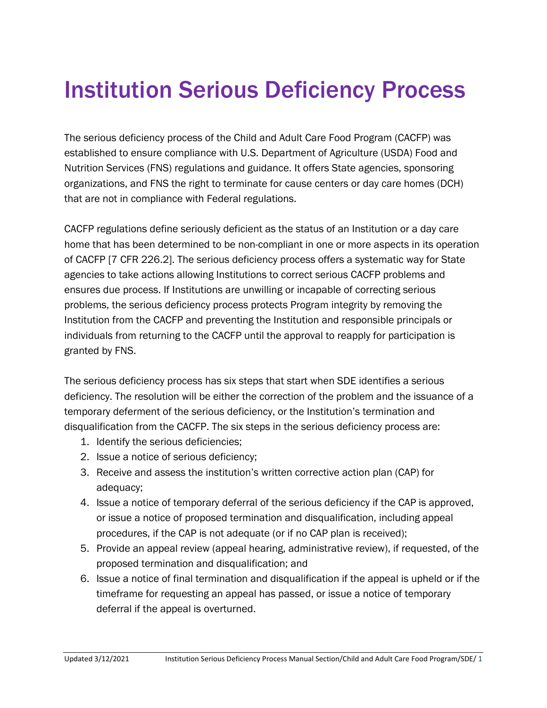# Institution Serious Deficiency Process

The serious deficiency process of the Child and Adult Care Food Program (CACFP) was established to ensure compliance with U.S. Department of Agriculture (USDA) Food and Nutrition Services (FNS) regulations and guidance. It offers State agencies, sponsoring organizations, and FNS the right to terminate for cause centers or day care homes (DCH) that are not in compliance with Federal regulations.

CACFP regulations define seriously deficient as the status of an Institution or a day care home that has been determined to be non-compliant in one or more aspects in its operation of CACFP [7 CFR 226.2]. The serious deficiency process offers a systematic way for State agencies to take actions allowing Institutions to correct serious CACFP problems and ensures due process. If Institutions are unwilling or incapable of correcting serious problems, the serious deficiency process protects Program integrity by removing the Institution from the CACFP and preventing the Institution and responsible principals or individuals from returning to the CACFP until the approval to reapply for participation is granted by FNS.

The serious deficiency process has six steps that start when SDE identifies a serious deficiency. The resolution will be either the correction of the problem and the issuance of a temporary deferment of the serious deficiency, or the Institution's termination and disqualification from the CACFP. The six steps in the serious deficiency process are:

- 1. Identify the serious deficiencies;
- 2. Issue a notice of serious deficiency;
- 3. Receive and assess the institution's written corrective action plan (CAP) for adequacy;
- 4. Issue a notice of temporary deferral of the serious deficiency if the CAP is approved, or issue a notice of proposed termination and disqualification, including appeal procedures, if the CAP is not adequate (or if no CAP plan is received);
- 5. Provide an appeal review (appeal hearing, administrative review), if requested, of the proposed termination and disqualification; and
- 6. Issue a notice of final termination and disqualification if the appeal is upheld or if the timeframe for requesting an appeal has passed, or issue a notice of temporary deferral if the appeal is overturned.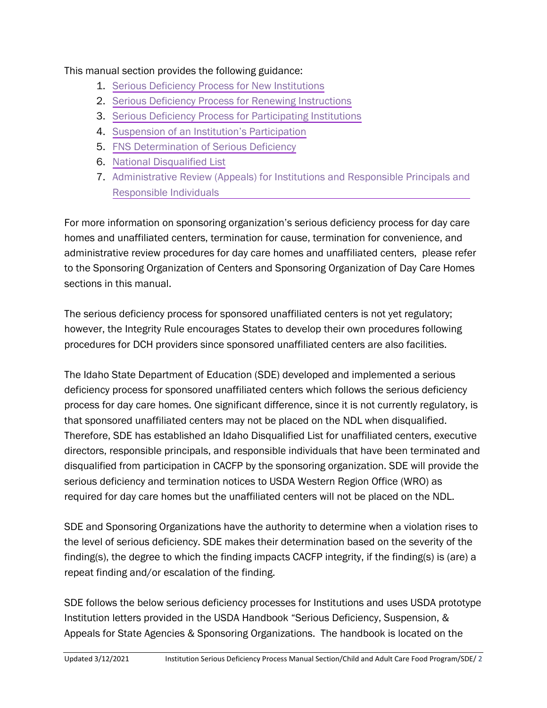### This manual section provides the following guidance:

- 1. [Serious Deficiency Process for New Institutions](#page-2-0)
- 2. [Serious Deficiency Process for Renewing Instructions](#page-7-0)
- 3. [Serious Deficiency Process for Participating Institutions](#page-12-0)
- 4. Suspension of an [Institution's Participation](#page-19-0)
- 5. [FNS Determination of Serious Deficiency](#page-24-0)
- 6. [National Disqualified List](#page-28-0)
- 7. [Administrative Review \(Appeals\) for Institutions and Responsible Principals and](#page-31-0) Responsible Individuals

For more information on sponsoring organization's serious deficiency process for day care homes and unaffiliated centers, termination for cause, termination for convenience, and administrative review procedures for day care homes and unaffiliated centers, please refer to the Sponsoring Organization of Centers and Sponsoring Organization of Day Care Homes sections in this manual.

The serious deficiency process for sponsored unaffiliated centers is not yet regulatory; however, the Integrity Rule encourages States to develop their own procedures following procedures for DCH providers since sponsored unaffiliated centers are also facilities.

The Idaho State Department of Education (SDE) developed and implemented a serious deficiency process for sponsored unaffiliated centers which follows the serious deficiency process for day care homes. One significant difference, since it is not currently regulatory, is that sponsored unaffiliated centers may not be placed on the NDL when disqualified. Therefore, SDE has established an Idaho Disqualified List for unaffiliated centers, executive directors, responsible principals, and responsible individuals that have been terminated and disqualified from participation in CACFP by the sponsoring organization. SDE will provide the serious deficiency and termination notices to USDA Western Region Office (WRO) as required for day care homes but the unaffiliated centers will not be placed on the NDL.

SDE and Sponsoring Organizations have the authority to determine when a violation rises to the level of serious deficiency. SDE makes their determination based on the severity of the finding(s), the degree to which the finding impacts CACFP integrity, if the finding(s) is (are) a repeat finding and/or escalation of the finding.

SDE follows the below serious deficiency processes for Institutions and uses USDA prototype Institution letters provided in the USDA Handbook "Serious Deficiency, Suspension, & Appeals for State Agencies & Sponsoring Organizations. The handbook is located on the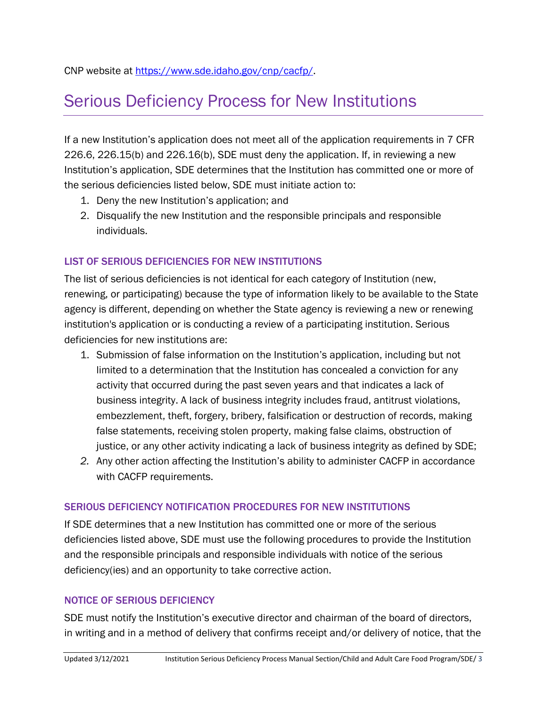## <span id="page-2-0"></span>Serious Deficiency Process for New Institutions

If a new Institution's application does not meet all of the application requirements in 7 CFR 226.6, 226.15(b) and 226.16(b), SDE must deny the application. If, in reviewing a new Institution's application, SDE determines that the Institution has committed one or more of the serious deficiencies listed below, SDE must initiate action to:

- 1. Deny the new Institution's application; and
- 2. Disqualify the new Institution and the responsible principals and responsible individuals.

### LIST OF SERIOUS DEFICIENCIES FOR NEW INSTITUTIONS

The list of serious deficiencies is not identical for each category of Institution (new, renewing, or participating) because the type of information likely to be available to the State agency is different, depending on whether the State agency is reviewing a new or renewing institution's application or is conducting a review of a participating institution. Serious deficiencies for new institutions are:

- 1. Submission of false information on the Institution's application, including but not limited to a determination that the Institution has concealed a conviction for any activity that occurred during the past seven years and that indicates a lack of business integrity. A lack of business integrity includes fraud, antitrust violations, embezzlement, theft, forgery, bribery, falsification or destruction of records, making false statements, receiving stolen property, making false claims, obstruction of justice, or any other activity indicating a lack of business integrity as defined by SDE;
- *2.* Any other action affecting the Institution's ability to administer CACFP in accordance with CACFP requirements.

### SERIOUS DEFICIENCY NOTIFICATION PROCEDURES FOR NEW INSTITUTIONS

If SDE determines that a new Institution has committed one or more of the serious deficiencies listed above, SDE must use the following procedures to provide the Institution and the responsible principals and responsible individuals with notice of the serious deficiency(ies) and an opportunity to take corrective action.

### NOTICE OF SERIOUS DEFICIENCY

SDE must notify the Institution's executive director and chairman of the board of directors, in writing and in a method of delivery that confirms receipt and/or delivery of notice, that the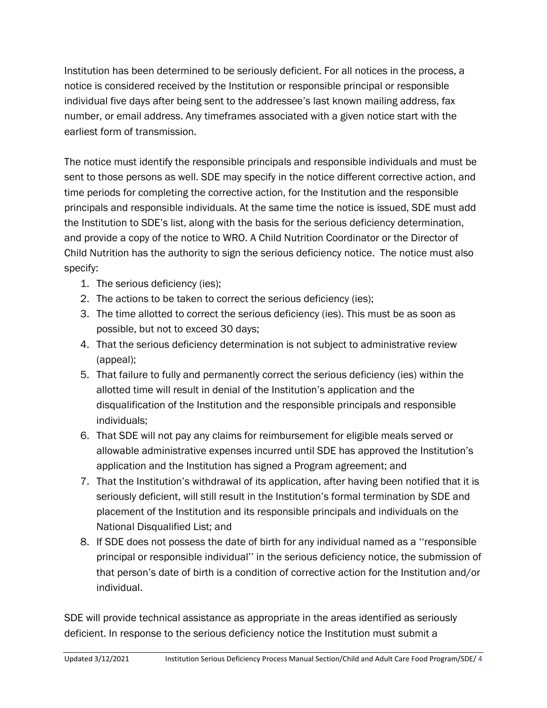Institution has been determined to be seriously deficient. For all notices in the process, a notice is considered received by the Institution or responsible principal or responsible individual five days after being sent to the addressee's last known mailing address, fax number, or email address. Any timeframes associated with a given notice start with the earliest form of transmission.

The notice must identify the responsible principals and responsible individuals and must be sent to those persons as well. SDE may specify in the notice different corrective action, and time periods for completing the corrective action, for the Institution and the responsible principals and responsible individuals. At the same time the notice is issued, SDE must add the Institution to SDE's list, along with the basis for the serious deficiency determination, and provide a copy of the notice to WRO. A Child Nutrition Coordinator or the Director of Child Nutrition has the authority to sign the serious deficiency notice. The notice must also specify:

- 1. The serious deficiency (ies);
- 2. The actions to be taken to correct the serious deficiency (ies);
- 3. The time allotted to correct the serious deficiency (ies). This must be as soon as possible, but not to exceed 30 days;
- 4. That the serious deficiency determination is not subject to administrative review (appeal);
- 5. That failure to fully and permanently correct the serious deficiency (ies) within the allotted time will result in denial of the Institution's application and the disqualification of the Institution and the responsible principals and responsible individuals;
- 6. That SDE will not pay any claims for reimbursement for eligible meals served or allowable administrative expenses incurred until SDE has approved the Institution's application and the Institution has signed a Program agreement; and
- 7. That the Institution's withdrawal of its application, after having been notified that it is seriously deficient, will still result in the Institution's formal termination by SDE and placement of the Institution and its responsible principals and individuals on the National Disqualified List; and
- 8. If SDE does not possess the date of birth for any individual named as a ''responsible principal or responsible individual'' in the serious deficiency notice, the submission of that person's date of birth is a condition of corrective action for the Institution and/or individual.

SDE will provide technical assistance as appropriate in the areas identified as seriously deficient. In response to the serious deficiency notice the Institution must submit a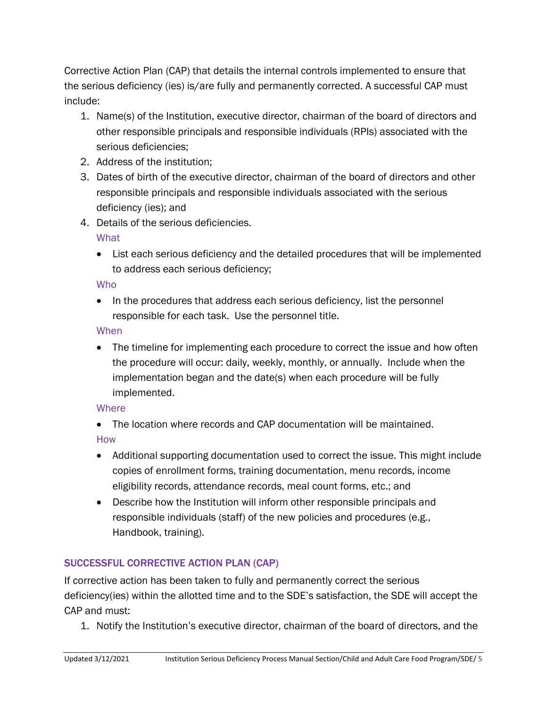Corrective Action Plan (CAP) that details the internal controls implemented to ensure that the serious deficiency (ies) is/are fully and permanently corrected. A successful CAP must include:

- 1. Name(s) of the Institution, executive director, chairman of the board of directors and other responsible principals and responsible individuals (RPIs) associated with the serious deficiencies;
- 2. Address of the institution;
- 3. Dates of birth of the executive director, chairman of the board of directors and other responsible principals and responsible individuals associated with the serious deficiency (ies); and
- 4. Details of the serious deficiencies.

**What** 

• List each serious deficiency and the detailed procedures that will be implemented to address each serious deficiency;

## Who

• In the procedures that address each serious deficiency, list the personnel responsible for each task. Use the personnel title.

## When

• The timeline for implementing each procedure to correct the issue and how often the procedure will occur: daily, weekly, monthly, or annually. Include when the implementation began and the date(s) when each procedure will be fully implemented.

## **Where**

• The location where records and CAP documentation will be maintained.

## How

- Additional supporting documentation used to correct the issue. This might include copies of enrollment forms, training documentation, menu records, income eligibility records, attendance records, meal count forms, etc.; and
- Describe how the Institution will inform other responsible principals and responsible individuals (staff) of the new policies and procedures (e.g., Handbook, training).

## SUCCESSFUL CORRECTIVE ACTION PLAN (CAP)

If corrective action has been taken to fully and permanently correct the serious deficiency(ies) within the allotted time and to the SDE's satisfaction, the SDE will accept the CAP and must:

1. Notify the Institution's executive director, chairman of the board of directors, and the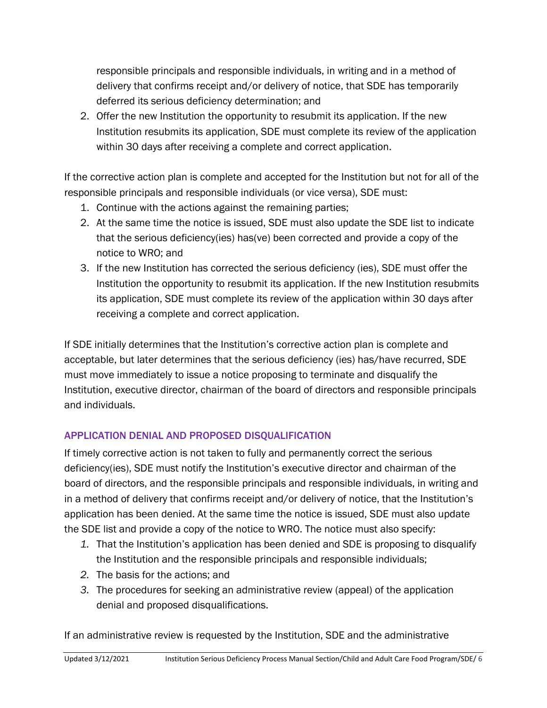responsible principals and responsible individuals, in writing and in a method of delivery that confirms receipt and/or delivery of notice, that SDE has temporarily deferred its serious deficiency determination; and

2. Offer the new Institution the opportunity to resubmit its application. If the new Institution resubmits its application, SDE must complete its review of the application within 30 days after receiving a complete and correct application.

If the corrective action plan is complete and accepted for the Institution but not for all of the responsible principals and responsible individuals (or vice versa), SDE must:

- 1. Continue with the actions against the remaining parties;
- 2. At the same time the notice is issued, SDE must also update the SDE list to indicate that the serious deficiency(ies) has(ve) been corrected and provide a copy of the notice to WRO; and
- 3. If the new Institution has corrected the serious deficiency (ies), SDE must offer the Institution the opportunity to resubmit its application. If the new Institution resubmits its application, SDE must complete its review of the application within 30 days after receiving a complete and correct application.

If SDE initially determines that the Institution's corrective action plan is complete and acceptable, but later determines that the serious deficiency (ies) has/have recurred, SDE must move immediately to issue a notice proposing to terminate and disqualify the Institution, executive director, chairman of the board of directors and responsible principals and individuals.

## APPLICATION DENIAL AND PROPOSED DISQUALIFICATION

If timely corrective action is not taken to fully and permanently correct the serious deficiency(ies), SDE must notify the Institution's executive director and chairman of the board of directors, and the responsible principals and responsible individuals, in writing and in a method of delivery that confirms receipt and/or delivery of notice, that the Institution's application has been denied. At the same time the notice is issued, SDE must also update the SDE list and provide a copy of the notice to WRO. The notice must also specify:

- *1.* That the Institution's application has been denied and SDE is proposing to disqualify the Institution and the responsible principals and responsible individuals;
- *2.* The basis for the actions; and
- *3.* The procedures for seeking an administrative review (appeal) of the application denial and proposed disqualifications.

If an administrative review is requested by the Institution, SDE and the administrative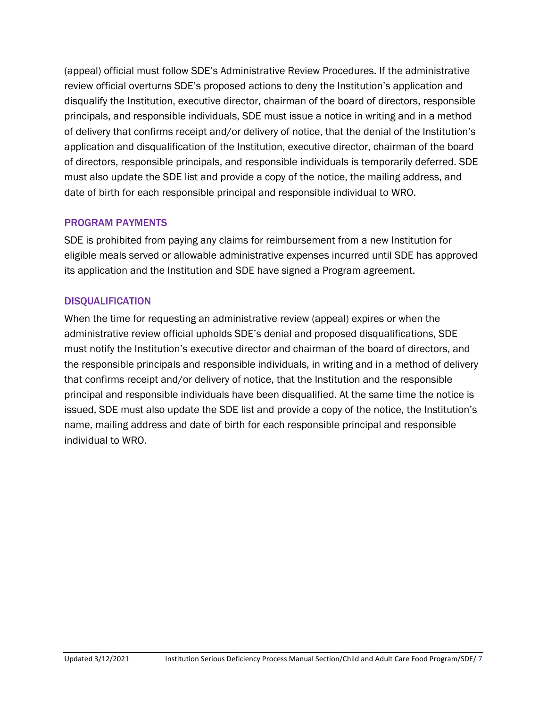(appeal) official must follow SDE's Administrative Review Procedures. If the administrative review official overturns SDE's proposed actions to deny the Institution's application and disqualify the Institution, executive director, chairman of the board of directors, responsible principals, and responsible individuals, SDE must issue a notice in writing and in a method of delivery that confirms receipt and/or delivery of notice, that the denial of the Institution's application and disqualification of the Institution, executive director, chairman of the board of directors, responsible principals, and responsible individuals is temporarily deferred. SDE must also update the SDE list and provide a copy of the notice, the mailing address, and date of birth for each responsible principal and responsible individual to WRO.

### PROGRAM PAYMENTS

SDE is prohibited from paying any claims for reimbursement from a new Institution for eligible meals served or allowable administrative expenses incurred until SDE has approved its application and the Institution and SDE have signed a Program agreement.

### **DISQUALIFICATION**

When the time for requesting an administrative review (appeal) expires or when the administrative review official upholds SDE's denial and proposed disqualifications, SDE must notify the Institution's executive director and chairman of the board of directors, and the responsible principals and responsible individuals, in writing and in a method of delivery that confirms receipt and/or delivery of notice, that the Institution and the responsible principal and responsible individuals have been disqualified. At the same time the notice is issued, SDE must also update the SDE list and provide a copy of the notice, the Institution's name, mailing address and date of birth for each responsible principal and responsible individual to WRO.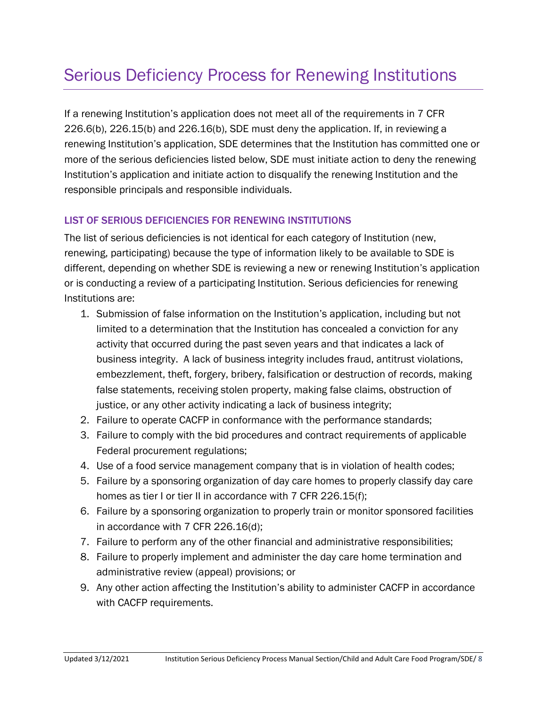## <span id="page-7-0"></span>Serious Deficiency Process for Renewing Institutions

If a renewing Institution's application does not meet all of the requirements in 7 CFR 226.6(b), 226.15(b) and 226.16(b), SDE must deny the application. If, in reviewing a renewing Institution's application, SDE determines that the Institution has committed one or more of the serious deficiencies listed below, SDE must initiate action to deny the renewing Institution's application and initiate action to disqualify the renewing Institution and the responsible principals and responsible individuals.

### LIST OF SERIOUS DEFICIENCIES FOR RENEWING INSTITUTIONS

The list of serious deficiencies is not identical for each category of Institution (new, renewing, participating) because the type of information likely to be available to SDE is different, depending on whether SDE is reviewing a new or renewing Institution's application or is conducting a review of a participating Institution. Serious deficiencies for renewing Institutions are:

- 1. Submission of false information on the Institution's application, including but not limited to a determination that the Institution has concealed a conviction for any activity that occurred during the past seven years and that indicates a lack of business integrity. A lack of business integrity includes fraud, antitrust violations, embezzlement, theft, forgery, bribery, falsification or destruction of records, making false statements, receiving stolen property, making false claims, obstruction of justice, or any other activity indicating a lack of business integrity;
- 2. Failure to operate CACFP in conformance with the performance standards;
- 3. Failure to comply with the bid procedures and contract requirements of applicable Federal procurement regulations;
- 4. Use of a food service management company that is in violation of health codes;
- 5. Failure by a sponsoring organization of day care homes to properly classify day care homes as tier I or tier II in accordance with 7 CFR 226.15(f);
- 6. Failure by a sponsoring organization to properly train or monitor sponsored facilities in accordance with 7 CFR 226.16(d);
- 7. Failure to perform any of the other financial and administrative responsibilities;
- 8. Failure to properly implement and administer the day care home termination and administrative review (appeal) provisions; or
- 9. Any other action affecting the Institution's ability to administer CACFP in accordance with CACFP requirements.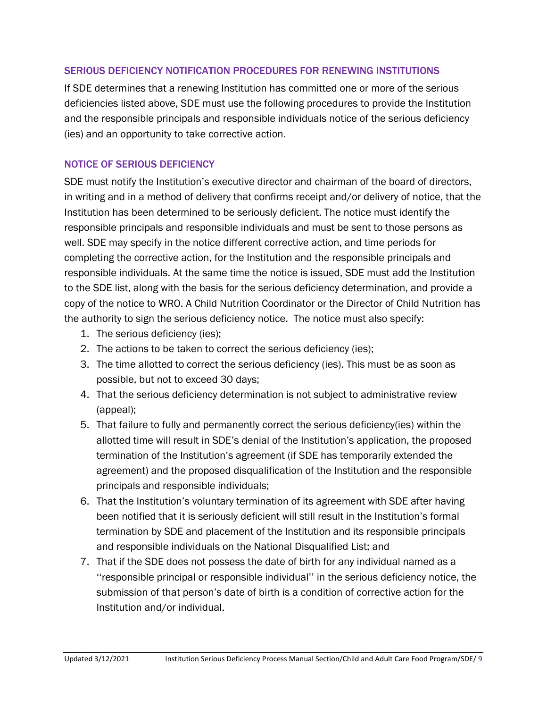### SERIOUS DEFICIENCY NOTIFICATION PROCEDURES FOR RENEWING INSTITUTIONS

If SDE determines that a renewing Institution has committed one or more of the serious deficiencies listed above, SDE must use the following procedures to provide the Institution and the responsible principals and responsible individuals notice of the serious deficiency (ies) and an opportunity to take corrective action.

### NOTICE OF SERIOUS DEFICIENCY

SDE must notify the Institution's executive director and chairman of the board of directors, in writing and in a method of delivery that confirms receipt and/or delivery of notice, that the Institution has been determined to be seriously deficient. The notice must identify the responsible principals and responsible individuals and must be sent to those persons as well. SDE may specify in the notice different corrective action, and time periods for completing the corrective action, for the Institution and the responsible principals and responsible individuals. At the same time the notice is issued, SDE must add the Institution to the SDE list, along with the basis for the serious deficiency determination, and provide a copy of the notice to WRO. A Child Nutrition Coordinator or the Director of Child Nutrition has the authority to sign the serious deficiency notice. The notice must also specify:

- 1. The serious deficiency (ies);
- 2. The actions to be taken to correct the serious deficiency (ies);
- 3. The time allotted to correct the serious deficiency (ies). This must be as soon as possible, but not to exceed 30 days;
- 4. That the serious deficiency determination is not subject to administrative review (appeal);
- 5. That failure to fully and permanently correct the serious deficiency(ies) within the allotted time will result in SDE's denial of the Institution's application, the proposed termination of the Institution's agreement (if SDE has temporarily extended the agreement) and the proposed disqualification of the Institution and the responsible principals and responsible individuals;
- 6. That the Institution's voluntary termination of its agreement with SDE after having been notified that it is seriously deficient will still result in the Institution's formal termination by SDE and placement of the Institution and its responsible principals and responsible individuals on the National Disqualified List; and
- 7. That if the SDE does not possess the date of birth for any individual named as a ''responsible principal or responsible individual'' in the serious deficiency notice, the submission of that person's date of birth is a condition of corrective action for the Institution and/or individual.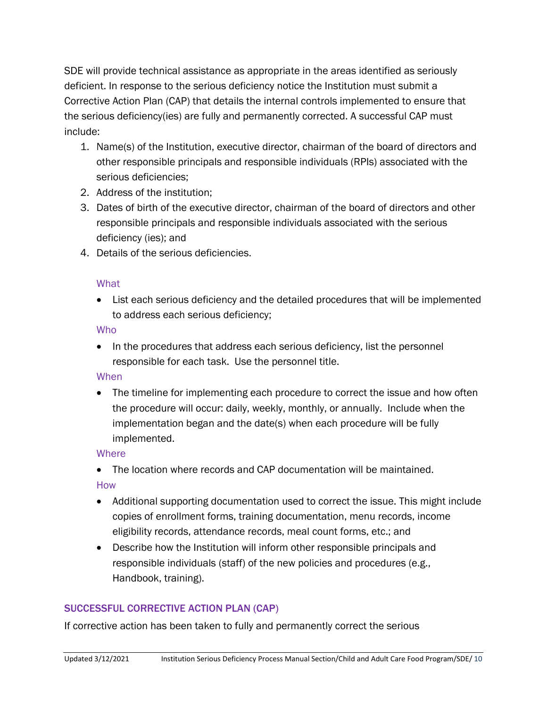SDE will provide technical assistance as appropriate in the areas identified as seriously deficient. In response to the serious deficiency notice the Institution must submit a Corrective Action Plan (CAP) that details the internal controls implemented to ensure that the serious deficiency(ies) are fully and permanently corrected. A successful CAP must include:

- 1. Name(s) of the Institution, executive director, chairman of the board of directors and other responsible principals and responsible individuals (RPIs) associated with the serious deficiencies;
- 2. Address of the institution;
- 3. Dates of birth of the executive director, chairman of the board of directors and other responsible principals and responsible individuals associated with the serious deficiency (ies); and
- 4. Details of the serious deficiencies.

### **What**

• List each serious deficiency and the detailed procedures that will be implemented to address each serious deficiency;

### Who

• In the procedures that address each serious deficiency, list the personnel responsible for each task. Use the personnel title.

### When

• The timeline for implementing each procedure to correct the issue and how often the procedure will occur: daily, weekly, monthly, or annually. Include when the implementation began and the date(s) when each procedure will be fully implemented.

### **Where**

• The location where records and CAP documentation will be maintained.

How

- Additional supporting documentation used to correct the issue. This might include copies of enrollment forms, training documentation, menu records, income eligibility records, attendance records, meal count forms, etc.; and
- Describe how the Institution will inform other responsible principals and responsible individuals (staff) of the new policies and procedures (e.g., Handbook, training).

### SUCCESSFUL CORRECTIVE ACTION PLAN (CAP)

If corrective action has been taken to fully and permanently correct the serious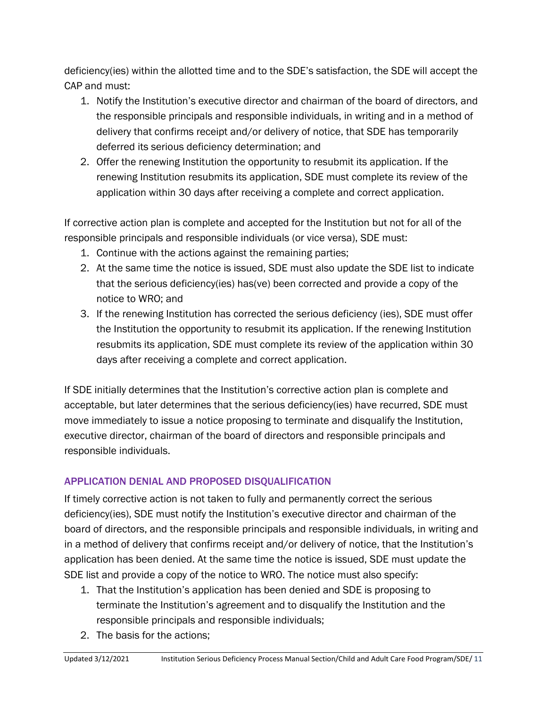deficiency(ies) within the allotted time and to the SDE's satisfaction, the SDE will accept the CAP and must:

- 1. Notify the Institution's executive director and chairman of the board of directors, and the responsible principals and responsible individuals, in writing and in a method of delivery that confirms receipt and/or delivery of notice, that SDE has temporarily deferred its serious deficiency determination; and
- 2. Offer the renewing Institution the opportunity to resubmit its application. If the renewing Institution resubmits its application, SDE must complete its review of the application within 30 days after receiving a complete and correct application.

If corrective action plan is complete and accepted for the Institution but not for all of the responsible principals and responsible individuals (or vice versa), SDE must:

- 1. Continue with the actions against the remaining parties;
- 2. At the same time the notice is issued, SDE must also update the SDE list to indicate that the serious deficiency(ies) has(ve) been corrected and provide a copy of the notice to WRO; and
- 3. If the renewing Institution has corrected the serious deficiency (ies), SDE must offer the Institution the opportunity to resubmit its application. If the renewing Institution resubmits its application, SDE must complete its review of the application within 30 days after receiving a complete and correct application.

If SDE initially determines that the Institution's corrective action plan is complete and acceptable, but later determines that the serious deficiency(ies) have recurred, SDE must move immediately to issue a notice proposing to terminate and disqualify the Institution, executive director, chairman of the board of directors and responsible principals and responsible individuals.

## APPLICATION DENIAL AND PROPOSED DISQUALIFICATION

If timely corrective action is not taken to fully and permanently correct the serious deficiency(ies), SDE must notify the Institution's executive director and chairman of the board of directors, and the responsible principals and responsible individuals, in writing and in a method of delivery that confirms receipt and/or delivery of notice, that the Institution's application has been denied. At the same time the notice is issued, SDE must update the SDE list and provide a copy of the notice to WRO. The notice must also specify:

- 1. That the Institution's application has been denied and SDE is proposing to terminate the Institution's agreement and to disqualify the Institution and the responsible principals and responsible individuals;
- 2. The basis for the actions;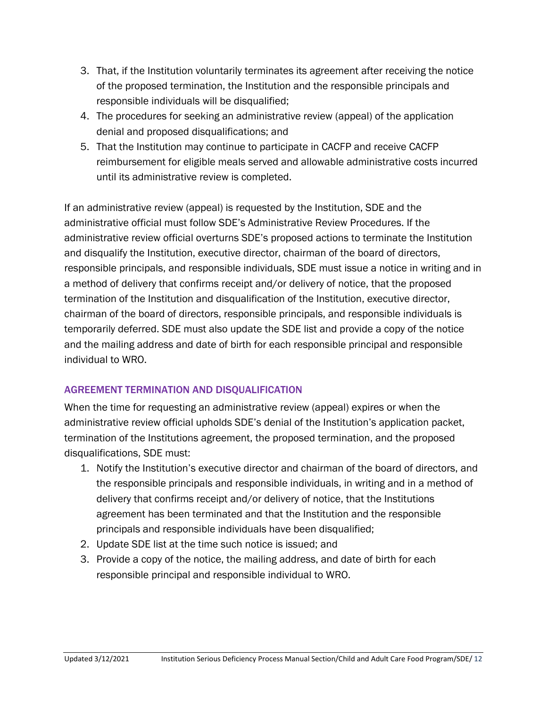- 3. That, if the Institution voluntarily terminates its agreement after receiving the notice of the proposed termination, the Institution and the responsible principals and responsible individuals will be disqualified;
- 4. The procedures for seeking an administrative review (appeal) of the application denial and proposed disqualifications; and
- 5. That the Institution may continue to participate in CACFP and receive CACFP reimbursement for eligible meals served and allowable administrative costs incurred until its administrative review is completed.

If an administrative review (appeal) is requested by the Institution, SDE and the administrative official must follow SDE's Administrative Review Procedures. If the administrative review official overturns SDE's proposed actions to terminate the Institution and disqualify the Institution, executive director, chairman of the board of directors, responsible principals, and responsible individuals, SDE must issue a notice in writing and in a method of delivery that confirms receipt and/or delivery of notice, that the proposed termination of the Institution and disqualification of the Institution, executive director, chairman of the board of directors, responsible principals, and responsible individuals is temporarily deferred. SDE must also update the SDE list and provide a copy of the notice and the mailing address and date of birth for each responsible principal and responsible individual to WRO.

### AGREEMENT TERMINATION AND DISQUALIFICATION

When the time for requesting an administrative review (appeal) expires or when the administrative review official upholds SDE's denial of the Institution's application packet, termination of the Institutions agreement, the proposed termination, and the proposed disqualifications, SDE must:

- 1. Notify the Institution's executive director and chairman of the board of directors, and the responsible principals and responsible individuals, in writing and in a method of delivery that confirms receipt and/or delivery of notice, that the Institutions agreement has been terminated and that the Institution and the responsible principals and responsible individuals have been disqualified;
- 2. Update SDE list at the time such notice is issued; and
- 3. Provide a copy of the notice, the mailing address, and date of birth for each responsible principal and responsible individual to WRO.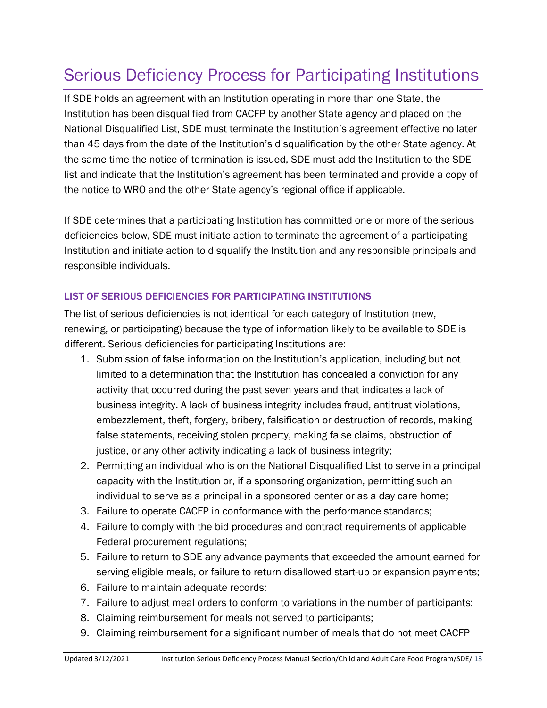## <span id="page-12-0"></span>Serious Deficiency Process for Participating Institutions

If SDE holds an agreement with an Institution operating in more than one State, the Institution has been disqualified from CACFP by another State agency and placed on the National Disqualified List, SDE must terminate the Institution's agreement effective no later than 45 days from the date of the Institution's disqualification by the other State agency. At the same time the notice of termination is issued, SDE must add the Institution to the SDE list and indicate that the Institution's agreement has been terminated and provide a copy of the notice to WRO and the other State agency's regional office if applicable.

If SDE determines that a participating Institution has committed one or more of the serious deficiencies below, SDE must initiate action to terminate the agreement of a participating Institution and initiate action to disqualify the Institution and any responsible principals and responsible individuals.

### LIST OF SERIOUS DEFICIENCIES FOR PARTICIPATING INSTITUTIONS

The list of serious deficiencies is not identical for each category of Institution (new, renewing, or participating) because the type of information likely to be available to SDE is different. Serious deficiencies for participating Institutions are:

- 1. Submission of false information on the Institution's application, including but not limited to a determination that the Institution has concealed a conviction for any activity that occurred during the past seven years and that indicates a lack of business integrity. A lack of business integrity includes fraud, antitrust violations, embezzlement, theft, forgery, bribery, falsification or destruction of records, making false statements, receiving stolen property, making false claims, obstruction of justice, or any other activity indicating a lack of business integrity;
- 2. Permitting an individual who is on the National Disqualified List to serve in a principal capacity with the Institution or, if a sponsoring organization, permitting such an individual to serve as a principal in a sponsored center or as a day care home;
- 3. Failure to operate CACFP in conformance with the performance standards;
- 4. Failure to comply with the bid procedures and contract requirements of applicable Federal procurement regulations;
- 5. Failure to return to SDE any advance payments that exceeded the amount earned for serving eligible meals, or failure to return disallowed start-up or expansion payments;
- 6. Failure to maintain adequate records;
- 7. Failure to adjust meal orders to conform to variations in the number of participants;
- 8. Claiming reimbursement for meals not served to participants;
- 9. Claiming reimbursement for a significant number of meals that do not meet CACFP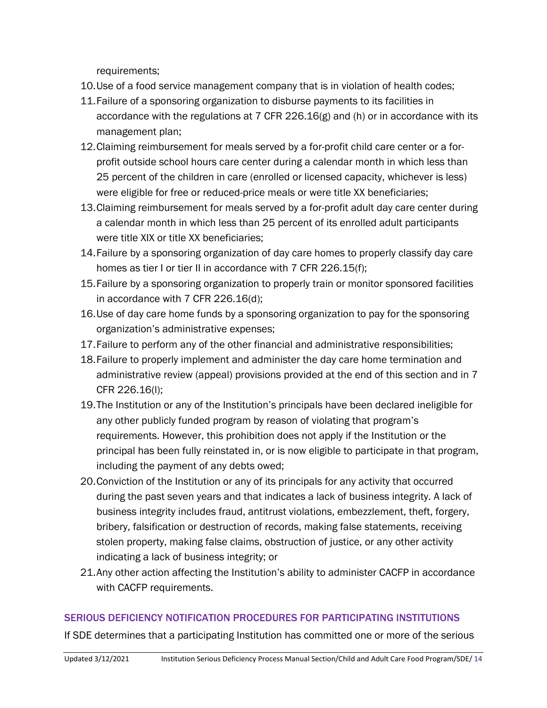requirements;

- 10.Use of a food service management company that is in violation of health codes;
- 11.Failure of a sponsoring organization to disburse payments to its facilities in accordance with the regulations at 7 CFR 226.16(g) and (h) or in accordance with its management plan;
- 12.Claiming reimbursement for meals served by a for-profit child care center or a forprofit outside school hours care center during a calendar month in which less than 25 percent of the children in care (enrolled or licensed capacity, whichever is less) were eligible for free or reduced-price meals or were title XX beneficiaries;
- 13.Claiming reimbursement for meals served by a for-profit adult day care center during a calendar month in which less than 25 percent of its enrolled adult participants were title XIX or title XX beneficiaries;
- 14.Failure by a sponsoring organization of day care homes to properly classify day care homes as tier I or tier II in accordance with 7 CFR 226.15(f);
- 15.Failure by a sponsoring organization to properly train or monitor sponsored facilities in accordance with 7 CFR 226.16(d);
- 16.Use of day care home funds by a sponsoring organization to pay for the sponsoring organization's administrative expenses;
- 17.Failure to perform any of the other financial and administrative responsibilities;
- 18.Failure to properly implement and administer the day care home termination and administrative review (appeal) provisions provided at the end of this section and in 7 CFR 226.16(l);
- 19.The Institution or any of the Institution's principals have been declared ineligible for any other publicly funded program by reason of violating that program's requirements. However, this prohibition does not apply if the Institution or the principal has been fully reinstated in, or is now eligible to participate in that program, including the payment of any debts owed;
- 20.Conviction of the Institution or any of its principals for any activity that occurred during the past seven years and that indicates a lack of business integrity. A lack of business integrity includes fraud, antitrust violations, embezzlement, theft, forgery, bribery, falsification or destruction of records, making false statements, receiving stolen property, making false claims, obstruction of justice, or any other activity indicating a lack of business integrity; or
- 21.Any other action affecting the Institution's ability to administer CACFP in accordance with CACFP requirements.

### SERIOUS DEFICIENCY NOTIFICATION PROCEDURES FOR PARTICIPATING INSTITUTIONS

If SDE determines that a participating Institution has committed one or more of the serious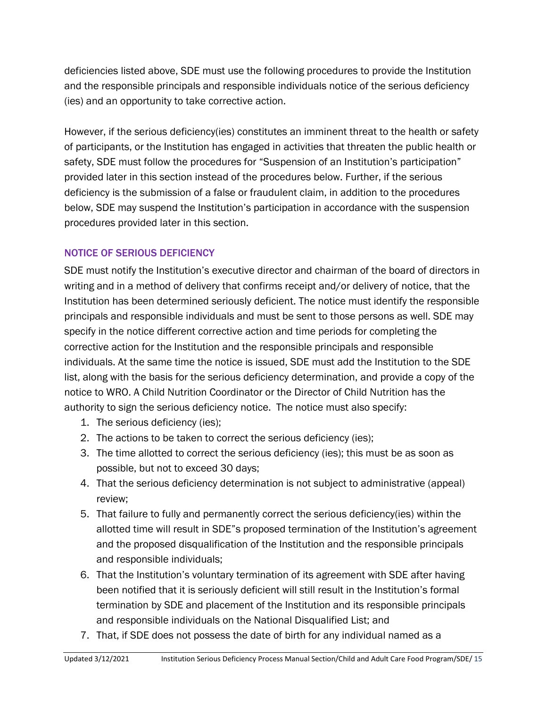deficiencies listed above, SDE must use the following procedures to provide the Institution and the responsible principals and responsible individuals notice of the serious deficiency (ies) and an opportunity to take corrective action.

However, if the serious deficiency(ies) constitutes an imminent threat to the health or safety of participants, or the Institution has engaged in activities that threaten the public health or safety, SDE must follow the procedures for "Suspension of an Institution's participation" provided later in this section instead of the procedures below. Further, if the serious deficiency is the submission of a false or fraudulent claim, in addition to the procedures below, SDE may suspend the Institution's participation in accordance with the suspension procedures provided later in this section.

## NOTICE OF SERIOUS DEFICIENCY

SDE must notify the Institution's executive director and chairman of the board of directors in writing and in a method of delivery that confirms receipt and/or delivery of notice, that the Institution has been determined seriously deficient. The notice must identify the responsible principals and responsible individuals and must be sent to those persons as well. SDE may specify in the notice different corrective action and time periods for completing the corrective action for the Institution and the responsible principals and responsible individuals. At the same time the notice is issued, SDE must add the Institution to the SDE list, along with the basis for the serious deficiency determination, and provide a copy of the notice to WRO. A Child Nutrition Coordinator or the Director of Child Nutrition has the authority to sign the serious deficiency notice. The notice must also specify:

- 1. The serious deficiency (ies);
- 2. The actions to be taken to correct the serious deficiency (ies);
- 3. The time allotted to correct the serious deficiency (ies); this must be as soon as possible, but not to exceed 30 days;
- 4. That the serious deficiency determination is not subject to administrative (appeal) review;
- 5. That failure to fully and permanently correct the serious deficiency(ies) within the allotted time will result in SDE"s proposed termination of the Institution's agreement and the proposed disqualification of the Institution and the responsible principals and responsible individuals;
- 6. That the Institution's voluntary termination of its agreement with SDE after having been notified that it is seriously deficient will still result in the Institution's formal termination by SDE and placement of the Institution and its responsible principals and responsible individuals on the National Disqualified List; and
- 7. That, if SDE does not possess the date of birth for any individual named as a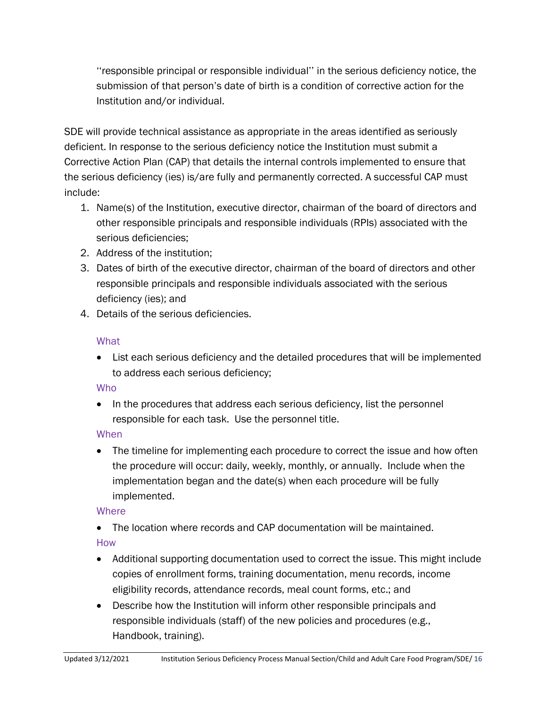''responsible principal or responsible individual'' in the serious deficiency notice, the submission of that person's date of birth is a condition of corrective action for the Institution and/or individual.

SDE will provide technical assistance as appropriate in the areas identified as seriously deficient. In response to the serious deficiency notice the Institution must submit a Corrective Action Plan (CAP) that details the internal controls implemented to ensure that the serious deficiency (ies) is/are fully and permanently corrected. A successful CAP must include:

- 1. Name(s) of the Institution, executive director, chairman of the board of directors and other responsible principals and responsible individuals (RPIs) associated with the serious deficiencies;
- 2. Address of the institution;
- 3. Dates of birth of the executive director, chairman of the board of directors and other responsible principals and responsible individuals associated with the serious deficiency (ies); and
- 4. Details of the serious deficiencies.

### **What**

• List each serious deficiency and the detailed procedures that will be implemented to address each serious deficiency;

## **Who**

• In the procedures that address each serious deficiency, list the personnel responsible for each task. Use the personnel title.

## **When**

• The timeline for implementing each procedure to correct the issue and how often the procedure will occur: daily, weekly, monthly, or annually. Include when the implementation began and the date(s) when each procedure will be fully implemented.

## **Where**

• The location where records and CAP documentation will be maintained.

## How

- Additional supporting documentation used to correct the issue. This might include copies of enrollment forms, training documentation, menu records, income eligibility records, attendance records, meal count forms, etc.; and
- Describe how the Institution will inform other responsible principals and responsible individuals (staff) of the new policies and procedures (e.g., Handbook, training).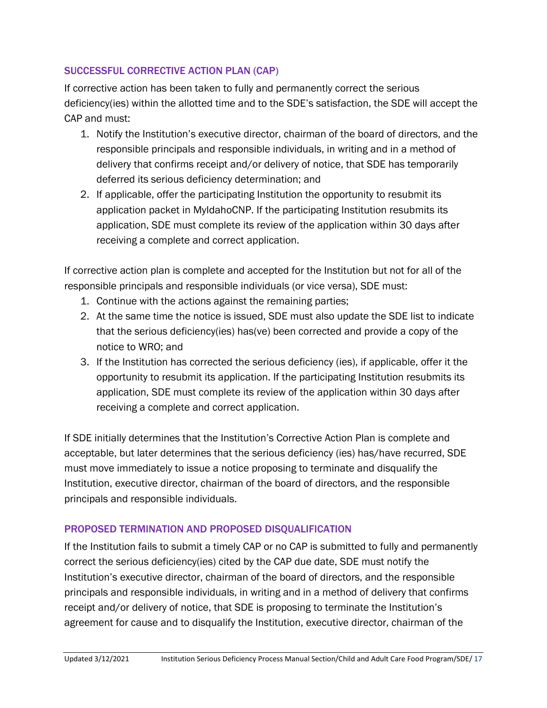### SUCCESSFUL CORRECTIVE ACTION PLAN (CAP)

If corrective action has been taken to fully and permanently correct the serious deficiency(ies) within the allotted time and to the SDE's satisfaction, the SDE will accept the CAP and must:

- 1. Notify the Institution's executive director, chairman of the board of directors, and the responsible principals and responsible individuals, in writing and in a method of delivery that confirms receipt and/or delivery of notice, that SDE has temporarily deferred its serious deficiency determination; and
- 2. If applicable, offer the participating Institution the opportunity to resubmit its application packet in MyIdahoCNP. If the participating Institution resubmits its application, SDE must complete its review of the application within 30 days after receiving a complete and correct application.

If corrective action plan is complete and accepted for the Institution but not for all of the responsible principals and responsible individuals (or vice versa), SDE must:

- 1. Continue with the actions against the remaining parties;
- 2. At the same time the notice is issued, SDE must also update the SDE list to indicate that the serious deficiency(ies) has(ve) been corrected and provide a copy of the notice to WRO; and
- 3. If the Institution has corrected the serious deficiency (ies), if applicable, offer it the opportunity to resubmit its application. If the participating Institution resubmits its application, SDE must complete its review of the application within 30 days after receiving a complete and correct application.

If SDE initially determines that the Institution's Corrective Action Plan is complete and acceptable, but later determines that the serious deficiency (ies) has/have recurred, SDE must move immediately to issue a notice proposing to terminate and disqualify the Institution, executive director, chairman of the board of directors, and the responsible principals and responsible individuals.

### PROPOSED TERMINATION AND PROPOSED DISQUALIFICATION

If the Institution fails to submit a timely CAP or no CAP is submitted to fully and permanently correct the serious deficiency(ies) cited by the CAP due date, SDE must notify the Institution's executive director, chairman of the board of directors, and the responsible principals and responsible individuals, in writing and in a method of delivery that confirms receipt and/or delivery of notice, that SDE is proposing to terminate the Institution's agreement for cause and to disqualify the Institution, executive director, chairman of the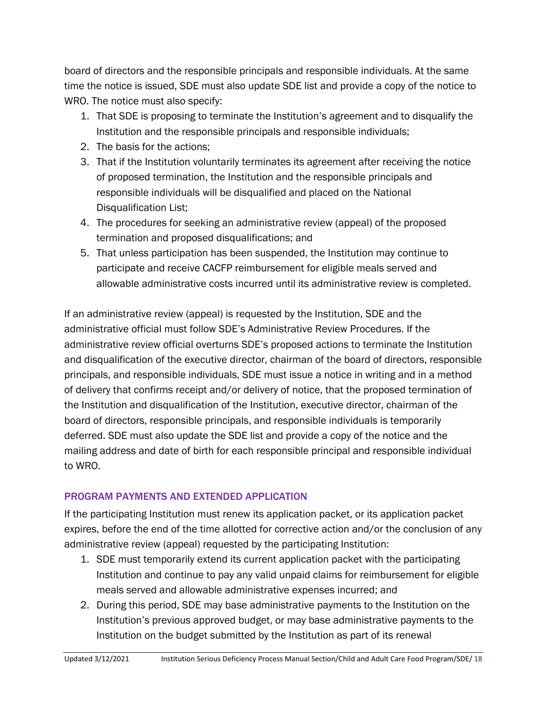board of directors and the responsible principals and responsible individuals. At the same time the notice is issued, SDE must also update SDE list and provide a copy of the notice to WRO. The notice must also specify:

- 1. That SDE is proposing to terminate the Institution's agreement and to disqualify the Institution and the responsible principals and responsible individuals;
- 2. The basis for the actions;
- 3. That if the Institution voluntarily terminates its agreement after receiving the notice of proposed termination, the Institution and the responsible principals and responsible individuals will be disqualified and placed on the National Disqualification List;
- 4. The procedures for seeking an administrative review (appeal) of the proposed termination and proposed disqualifications; and
- 5. That unless participation has been suspended, the Institution may continue to participate and receive CACFP reimbursement for eligible meals served and allowable administrative costs incurred until its administrative review is completed.

If an administrative review (appeal) is requested by the Institution, SDE and the administrative official must follow SDE's Administrative Review Procedures. If the administrative review official overturns SDE's proposed actions to terminate the Institution and disqualification of the executive director, chairman of the board of directors, responsible principals, and responsible individuals, SDE must issue a notice in writing and in a method of delivery that confirms receipt and/or delivery of notice, that the proposed termination of the Institution and disqualification of the Institution, executive director, chairman of the board of directors, responsible principals, and responsible individuals is temporarily deferred. SDE must also update the SDE list and provide a copy of the notice and the mailing address and date of birth for each responsible principal and responsible individual to WRO.

## PROGRAM PAYMENTS AND EXTENDED APPLICATION

If the participating Institution must renew its application packet, or its application packet expires, before the end of the time allotted for corrective action and/or the conclusion of any administrative review (appeal) requested by the participating Institution:

- 1. SDE must temporarily extend its current application packet with the participating Institution and continue to pay any valid unpaid claims for reimbursement for eligible meals served and allowable administrative expenses incurred; and
- 2. During this period, SDE may base administrative payments to the Institution on the Institution's previous approved budget, or may base administrative payments to the Institution on the budget submitted by the Institution as part of its renewal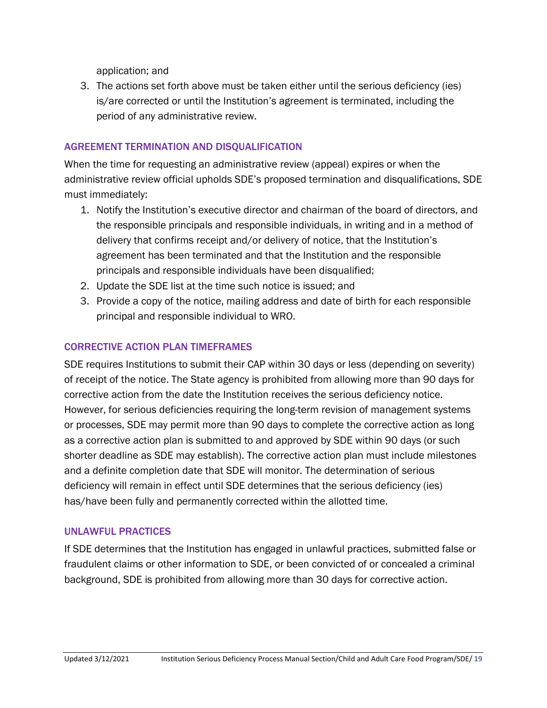application; and

3. The actions set forth above must be taken either until the serious deficiency (ies) is/are corrected or until the Institution's agreement is terminated, including the period of any administrative review.

### AGREEMENT TERMINATION AND DISQUALIFICATION

When the time for requesting an administrative review (appeal) expires or when the administrative review official upholds SDE's proposed termination and disqualifications, SDE must immediately:

- 1. Notify the Institution's executive director and chairman of the board of directors, and the responsible principals and responsible individuals, in writing and in a method of delivery that confirms receipt and/or delivery of notice, that the Institution's agreement has been terminated and that the Institution and the responsible principals and responsible individuals have been disqualified;
- 2. Update the SDE list at the time such notice is issued; and
- 3. Provide a copy of the notice, mailing address and date of birth for each responsible principal and responsible individual to WRO.

### CORRECTIVE ACTION PLAN TIMEFRAMES

SDE requires Institutions to submit their CAP within 30 days or less (depending on severity) of receipt of the notice. The State agency is prohibited from allowing more than 90 days for corrective action from the date the Institution receives the serious deficiency notice. However, for serious deficiencies requiring the long-term revision of management systems or processes, SDE may permit more than 90 days to complete the corrective action as long as a corrective action plan is submitted to and approved by SDE within 90 days (or such shorter deadline as SDE may establish). The corrective action plan must include milestones and a definite completion date that SDE will monitor. The determination of serious deficiency will remain in effect until SDE determines that the serious deficiency (ies) has/have been fully and permanently corrected within the allotted time.

### UNLAWFUL PRACTICES

If SDE determines that the Institution has engaged in unlawful practices, submitted false or fraudulent claims or other information to SDE, or been convicted of or concealed a criminal background, SDE is prohibited from allowing more than 30 days for corrective action.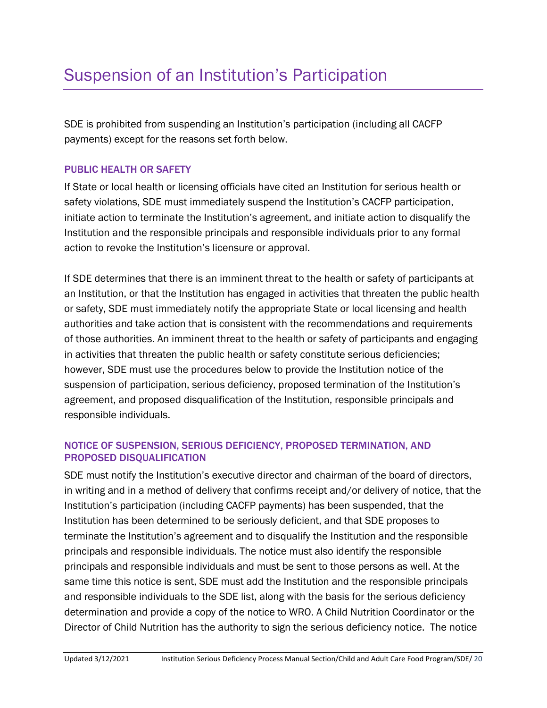## <span id="page-19-0"></span>Suspension of an Institution's Participation

SDE is prohibited from suspending an Institution's participation (including all CACFP payments) except for the reasons set forth below.

### PUBLIC HEALTH OR SAFETY

If State or local health or licensing officials have cited an Institution for serious health or safety violations, SDE must immediately suspend the Institution's CACFP participation, initiate action to terminate the Institution's agreement, and initiate action to disqualify the Institution and the responsible principals and responsible individuals prior to any formal action to revoke the Institution's licensure or approval.

If SDE determines that there is an imminent threat to the health or safety of participants at an Institution, or that the Institution has engaged in activities that threaten the public health or safety, SDE must immediately notify the appropriate State or local licensing and health authorities and take action that is consistent with the recommendations and requirements of those authorities. An imminent threat to the health or safety of participants and engaging in activities that threaten the public health or safety constitute serious deficiencies; however, SDE must use the procedures below to provide the Institution notice of the suspension of participation, serious deficiency, proposed termination of the Institution's agreement, and proposed disqualification of the Institution, responsible principals and responsible individuals.

### NOTICE OF SUSPENSION, SERIOUS DEFICIENCY, PROPOSED TERMINATION, AND PROPOSED DISQUALIFICATION

SDE must notify the Institution's executive director and chairman of the board of directors, in writing and in a method of delivery that confirms receipt and/or delivery of notice, that the Institution's participation (including CACFP payments) has been suspended, that the Institution has been determined to be seriously deficient, and that SDE proposes to terminate the Institution's agreement and to disqualify the Institution and the responsible principals and responsible individuals. The notice must also identify the responsible principals and responsible individuals and must be sent to those persons as well. At the same time this notice is sent, SDE must add the Institution and the responsible principals and responsible individuals to the SDE list, along with the basis for the serious deficiency determination and provide a copy of the notice to WRO. A Child Nutrition Coordinator or the Director of Child Nutrition has the authority to sign the serious deficiency notice. The notice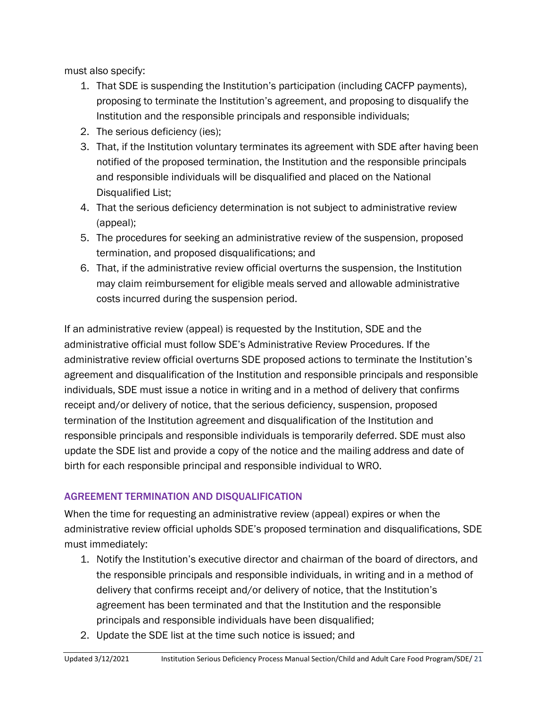must also specify:

- 1. That SDE is suspending the Institution's participation (including CACFP payments), proposing to terminate the Institution's agreement, and proposing to disqualify the Institution and the responsible principals and responsible individuals;
- 2. The serious deficiency (ies);
- 3. That, if the Institution voluntary terminates its agreement with SDE after having been notified of the proposed termination, the Institution and the responsible principals and responsible individuals will be disqualified and placed on the National Disqualified List;
- 4. That the serious deficiency determination is not subject to administrative review (appeal);
- 5. The procedures for seeking an administrative review of the suspension, proposed termination, and proposed disqualifications; and
- 6. That, if the administrative review official overturns the suspension, the Institution may claim reimbursement for eligible meals served and allowable administrative costs incurred during the suspension period.

If an administrative review (appeal) is requested by the Institution, SDE and the administrative official must follow SDE's Administrative Review Procedures. If the administrative review official overturns SDE proposed actions to terminate the Institution's agreement and disqualification of the Institution and responsible principals and responsible individuals, SDE must issue a notice in writing and in a method of delivery that confirms receipt and/or delivery of notice, that the serious deficiency, suspension, proposed termination of the Institution agreement and disqualification of the Institution and responsible principals and responsible individuals is temporarily deferred. SDE must also update the SDE list and provide a copy of the notice and the mailing address and date of birth for each responsible principal and responsible individual to WRO.

## AGREEMENT TERMINATION AND DISQUALIFICATION

When the time for requesting an administrative review (appeal) expires or when the administrative review official upholds SDE's proposed termination and disqualifications, SDE must immediately:

- 1. Notify the Institution's executive director and chairman of the board of directors, and the responsible principals and responsible individuals, in writing and in a method of delivery that confirms receipt and/or delivery of notice, that the Institution's agreement has been terminated and that the Institution and the responsible principals and responsible individuals have been disqualified;
- 2. Update the SDE list at the time such notice is issued; and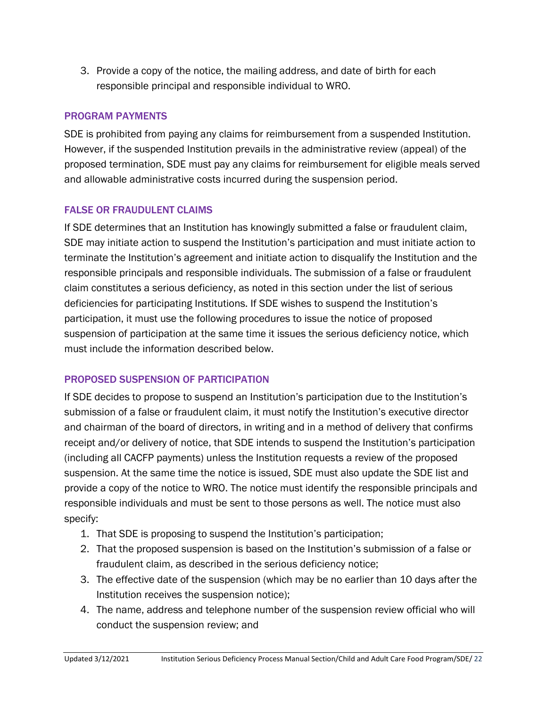3. Provide a copy of the notice, the mailing address, and date of birth for each responsible principal and responsible individual to WRO.

### PROGRAM PAYMENTS

SDE is prohibited from paying any claims for reimbursement from a suspended Institution. However, if the suspended Institution prevails in the administrative review (appeal) of the proposed termination, SDE must pay any claims for reimbursement for eligible meals served and allowable administrative costs incurred during the suspension period.

### FALSE OR FRAUDULENT CLAIMS

If SDE determines that an Institution has knowingly submitted a false or fraudulent claim, SDE may initiate action to suspend the Institution's participation and must initiate action to terminate the Institution's agreement and initiate action to disqualify the Institution and the responsible principals and responsible individuals. The submission of a false or fraudulent claim constitutes a serious deficiency, as noted in this section under the list of serious deficiencies for participating Institutions. If SDE wishes to suspend the Institution's participation, it must use the following procedures to issue the notice of proposed suspension of participation at the same time it issues the serious deficiency notice, which must include the information described below.

### PROPOSED SUSPENSION OF PARTICIPATION

If SDE decides to propose to suspend an Institution's participation due to the Institution's submission of a false or fraudulent claim, it must notify the Institution's executive director and chairman of the board of directors, in writing and in a method of delivery that confirms receipt and/or delivery of notice, that SDE intends to suspend the Institution's participation (including all CACFP payments) unless the Institution requests a review of the proposed suspension. At the same time the notice is issued, SDE must also update the SDE list and provide a copy of the notice to WRO. The notice must identify the responsible principals and responsible individuals and must be sent to those persons as well. The notice must also specify:

- 1. That SDE is proposing to suspend the Institution's participation;
- 2. That the proposed suspension is based on the Institution's submission of a false or fraudulent claim, as described in the serious deficiency notice;
- 3. The effective date of the suspension (which may be no earlier than 10 days after the Institution receives the suspension notice);
- 4. The name, address and telephone number of the suspension review official who will conduct the suspension review; and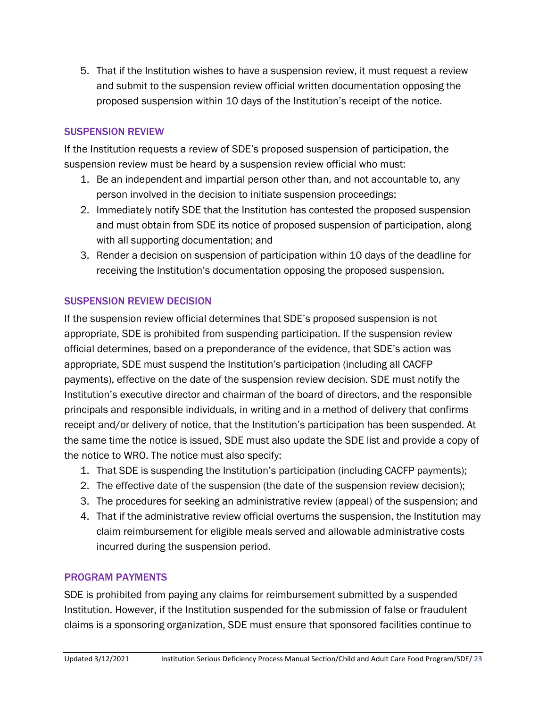5. That if the Institution wishes to have a suspension review, it must request a review and submit to the suspension review official written documentation opposing the proposed suspension within 10 days of the Institution's receipt of the notice.

### SUSPENSION REVIEW

If the Institution requests a review of SDE's proposed suspension of participation, the suspension review must be heard by a suspension review official who must:

- 1. Be an independent and impartial person other than, and not accountable to, any person involved in the decision to initiate suspension proceedings;
- 2. Immediately notify SDE that the Institution has contested the proposed suspension and must obtain from SDE its notice of proposed suspension of participation, along with all supporting documentation; and
- 3. Render a decision on suspension of participation within 10 days of the deadline for receiving the Institution's documentation opposing the proposed suspension.

### SUSPENSION REVIEW DECISION

If the suspension review official determines that SDE's proposed suspension is not appropriate, SDE is prohibited from suspending participation. If the suspension review official determines, based on a preponderance of the evidence, that SDE's action was appropriate, SDE must suspend the Institution's participation (including all CACFP payments), effective on the date of the suspension review decision. SDE must notify the Institution's executive director and chairman of the board of directors, and the responsible principals and responsible individuals, in writing and in a method of delivery that confirms receipt and/or delivery of notice, that the Institution's participation has been suspended. At the same time the notice is issued, SDE must also update the SDE list and provide a copy of the notice to WRO. The notice must also specify:

- 1. That SDE is suspending the Institution's participation (including CACFP payments);
- 2. The effective date of the suspension (the date of the suspension review decision);
- 3. The procedures for seeking an administrative review (appeal) of the suspension; and
- 4. That if the administrative review official overturns the suspension, the Institution may claim reimbursement for eligible meals served and allowable administrative costs incurred during the suspension period.

### PROGRAM PAYMENTS

SDE is prohibited from paying any claims for reimbursement submitted by a suspended Institution. However, if the Institution suspended for the submission of false or fraudulent claims is a sponsoring organization, SDE must ensure that sponsored facilities continue to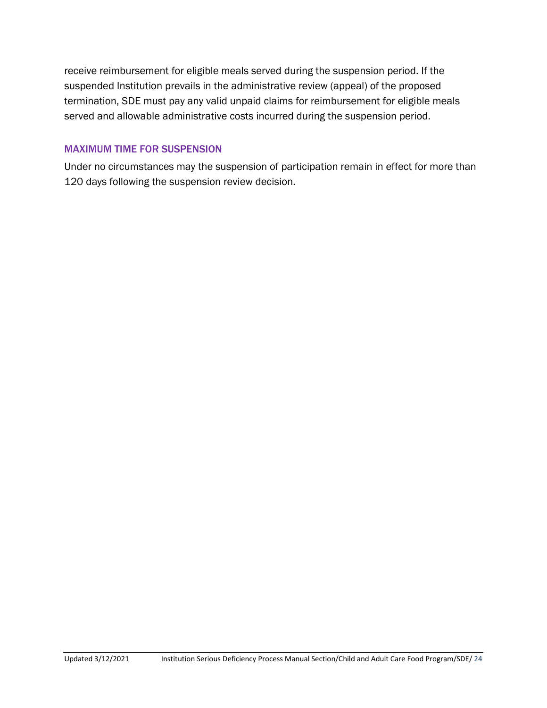receive reimbursement for eligible meals served during the suspension period. If the suspended Institution prevails in the administrative review (appeal) of the proposed termination, SDE must pay any valid unpaid claims for reimbursement for eligible meals served and allowable administrative costs incurred during the suspension period.

### MAXIMUM TIME FOR SUSPENSION

Under no circumstances may the suspension of participation remain in effect for more than 120 days following the suspension review decision.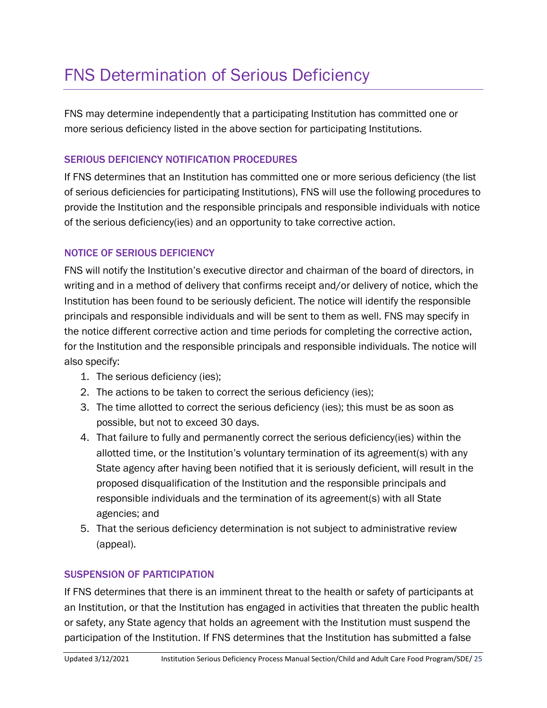## <span id="page-24-0"></span>FNS Determination of Serious Deficiency

FNS may determine independently that a participating Institution has committed one or more serious deficiency listed in the above section for participating Institutions.

### SERIOUS DEFICIENCY NOTIFICATION PROCEDURES

If FNS determines that an Institution has committed one or more serious deficiency (the list of serious deficiencies for participating Institutions), FNS will use the following procedures to provide the Institution and the responsible principals and responsible individuals with notice of the serious deficiency(ies) and an opportunity to take corrective action.

### NOTICE OF SERIOUS DEFICIENCY

FNS will notify the Institution's executive director and chairman of the board of directors, in writing and in a method of delivery that confirms receipt and/or delivery of notice, which the Institution has been found to be seriously deficient. The notice will identify the responsible principals and responsible individuals and will be sent to them as well. FNS may specify in the notice different corrective action and time periods for completing the corrective action, for the Institution and the responsible principals and responsible individuals. The notice will also specify:

- 1. The serious deficiency (ies);
- 2. The actions to be taken to correct the serious deficiency (ies);
- 3. The time allotted to correct the serious deficiency (ies); this must be as soon as possible, but not to exceed 30 days.
- 4. That failure to fully and permanently correct the serious deficiency(ies) within the allotted time, or the Institution's voluntary termination of its agreement(s) with any State agency after having been notified that it is seriously deficient, will result in the proposed disqualification of the Institution and the responsible principals and responsible individuals and the termination of its agreement(s) with all State agencies; and
- 5. That the serious deficiency determination is not subject to administrative review (appeal).

### SUSPENSION OF PARTICIPATION

If FNS determines that there is an imminent threat to the health or safety of participants at an Institution, or that the Institution has engaged in activities that threaten the public health or safety, any State agency that holds an agreement with the Institution must suspend the participation of the Institution. If FNS determines that the Institution has submitted a false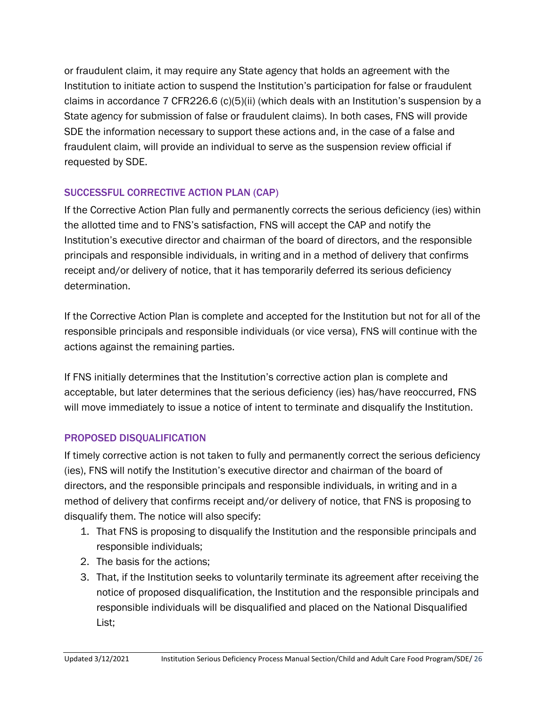or fraudulent claim, it may require any State agency that holds an agreement with the Institution to initiate action to suspend the Institution's participation for false or fraudulent claims in accordance 7 CFR226.6 (c)(5)(ii) (which deals with an Institution's suspension by a State agency for submission of false or fraudulent claims). In both cases, FNS will provide SDE the information necessary to support these actions and, in the case of a false and fraudulent claim, will provide an individual to serve as the suspension review official if requested by SDE.

### SUCCESSFUL CORRECTIVE ACTION PLAN (CAP)

If the Corrective Action Plan fully and permanently corrects the serious deficiency (ies) within the allotted time and to FNS's satisfaction, FNS will accept the CAP and notify the Institution's executive director and chairman of the board of directors, and the responsible principals and responsible individuals, in writing and in a method of delivery that confirms receipt and/or delivery of notice, that it has temporarily deferred its serious deficiency determination.

If the Corrective Action Plan is complete and accepted for the Institution but not for all of the responsible principals and responsible individuals (or vice versa), FNS will continue with the actions against the remaining parties.

If FNS initially determines that the Institution's corrective action plan is complete and acceptable, but later determines that the serious deficiency (ies) has/have reoccurred, FNS will move immediately to issue a notice of intent to terminate and disqualify the Institution.

## PROPOSED DISQUALIFICATION

If timely corrective action is not taken to fully and permanently correct the serious deficiency (ies), FNS will notify the Institution's executive director and chairman of the board of directors, and the responsible principals and responsible individuals, in writing and in a method of delivery that confirms receipt and/or delivery of notice, that FNS is proposing to disqualify them. The notice will also specify:

- 1. That FNS is proposing to disqualify the Institution and the responsible principals and responsible individuals;
- 2. The basis for the actions;
- 3. That, if the Institution seeks to voluntarily terminate its agreement after receiving the notice of proposed disqualification, the Institution and the responsible principals and responsible individuals will be disqualified and placed on the National Disqualified List;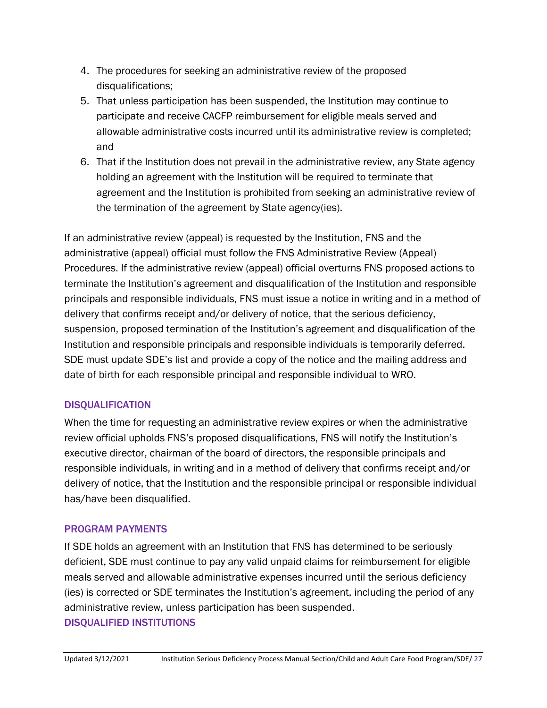- 4. The procedures for seeking an administrative review of the proposed disqualifications;
- 5. That unless participation has been suspended, the Institution may continue to participate and receive CACFP reimbursement for eligible meals served and allowable administrative costs incurred until its administrative review is completed; and
- 6. That if the Institution does not prevail in the administrative review, any State agency holding an agreement with the Institution will be required to terminate that agreement and the Institution is prohibited from seeking an administrative review of the termination of the agreement by State agency(ies).

If an administrative review (appeal) is requested by the Institution, FNS and the administrative (appeal) official must follow the FNS Administrative Review (Appeal) Procedures. If the administrative review (appeal) official overturns FNS proposed actions to terminate the Institution's agreement and disqualification of the Institution and responsible principals and responsible individuals, FNS must issue a notice in writing and in a method of delivery that confirms receipt and/or delivery of notice, that the serious deficiency, suspension, proposed termination of the Institution's agreement and disqualification of the Institution and responsible principals and responsible individuals is temporarily deferred. SDE must update SDE's list and provide a copy of the notice and the mailing address and date of birth for each responsible principal and responsible individual to WRO.

### DISQUALIFICATION

When the time for requesting an administrative review expires or when the administrative review official upholds FNS's proposed disqualifications, FNS will notify the Institution's executive director, chairman of the board of directors, the responsible principals and responsible individuals, in writing and in a method of delivery that confirms receipt and/or delivery of notice, that the Institution and the responsible principal or responsible individual has/have been disqualified.

### PROGRAM PAYMENTS

If SDE holds an agreement with an Institution that FNS has determined to be seriously deficient, SDE must continue to pay any valid unpaid claims for reimbursement for eligible meals served and allowable administrative expenses incurred until the serious deficiency (ies) is corrected or SDE terminates the Institution's agreement, including the period of any administrative review, unless participation has been suspended.

#### DISQUALIFIED INSTITUTIONS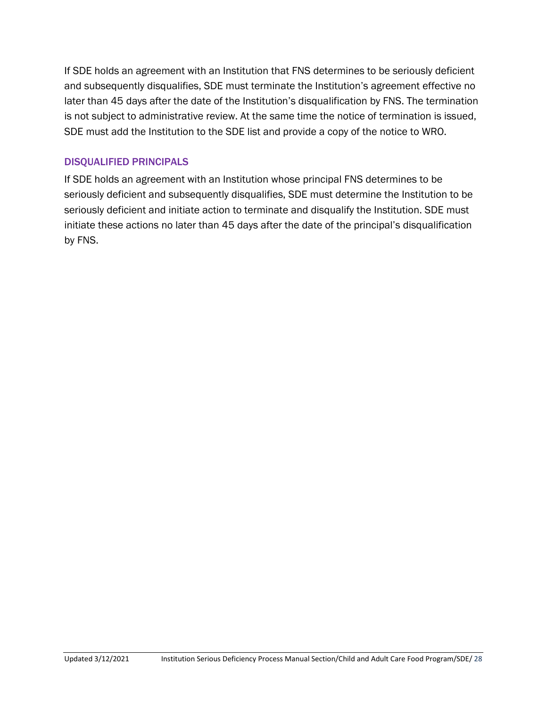If SDE holds an agreement with an Institution that FNS determines to be seriously deficient and subsequently disqualifies, SDE must terminate the Institution's agreement effective no later than 45 days after the date of the Institution's disqualification by FNS. The termination is not subject to administrative review. At the same time the notice of termination is issued, SDE must add the Institution to the SDE list and provide a copy of the notice to WRO.

### DISQUALIFIED PRINCIPALS

If SDE holds an agreement with an Institution whose principal FNS determines to be seriously deficient and subsequently disqualifies, SDE must determine the Institution to be seriously deficient and initiate action to terminate and disqualify the Institution. SDE must initiate these actions no later than 45 days after the date of the principal's disqualification by FNS.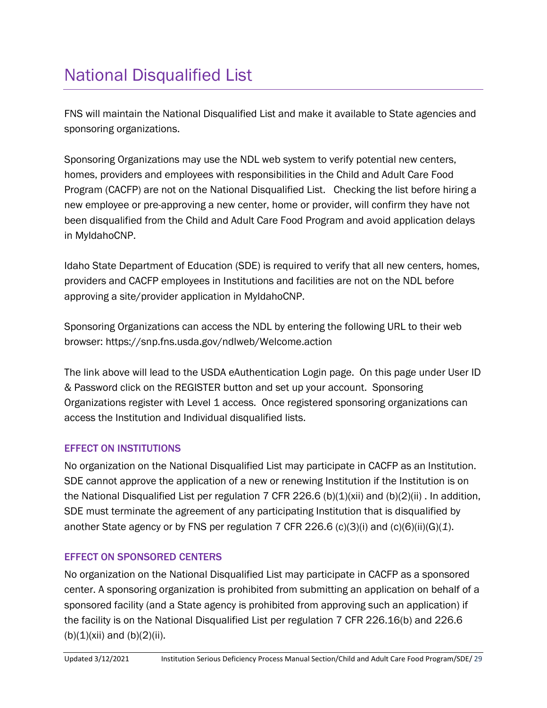## <span id="page-28-0"></span>National Disqualified List

FNS will maintain the National Disqualified List and make it available to State agencies and sponsoring organizations.

Sponsoring Organizations may use the NDL web system to verify potential new centers, homes, providers and employees with responsibilities in the Child and Adult Care Food Program (CACFP) are not on the National Disqualified List. Checking the list before hiring a new employee or pre-approving a new center, home or provider, will confirm they have not been disqualified from the Child and Adult Care Food Program and avoid application delays in MyIdahoCNP.

Idaho State Department of Education (SDE) is required to verify that all new centers, homes, providers and CACFP employees in Institutions and facilities are not on the NDL before approving a site/provider application in MyIdahoCNP.

Sponsoring Organizations can access the NDL by entering the following URL to their web browser:<https://snp.fns.usda.gov/ndlweb/Welcome.action>

The link above will lead to the USDA eAuthentication Login page. On this page under User ID & Password click on the REGISTER button and set up your account. Sponsoring Organizations register with Level 1 access. Once registered sponsoring organizations can access the Institution and Individual disqualified lists.

### EFFECT ON INSTITUTIONS

No organization on the National Disqualified List may participate in CACFP as an Institution. SDE cannot approve the application of a new or renewing Institution if the Institution is on the National Disqualified List per regulation 7 CFR 226.6 (b)(1)(xii) and (b)(2)(ii). In addition, SDE must terminate the agreement of any participating Institution that is disqualified by another State agency or by FNS per regulation 7 CFR 226.6 (c)(3)(i) and (c)(6)(ii)(G)(*1*).

### EFFECT ON SPONSORED CENTERS

No organization on the National Disqualified List may participate in CACFP as a sponsored center. A sponsoring organization is prohibited from submitting an application on behalf of a sponsored facility (and a State agency is prohibited from approving such an application) if the facility is on the National Disqualified List per regulation 7 CFR 226.16(b) and 226.6  $(b)(1)(xii)$  and  $(b)(2)(ii)$ .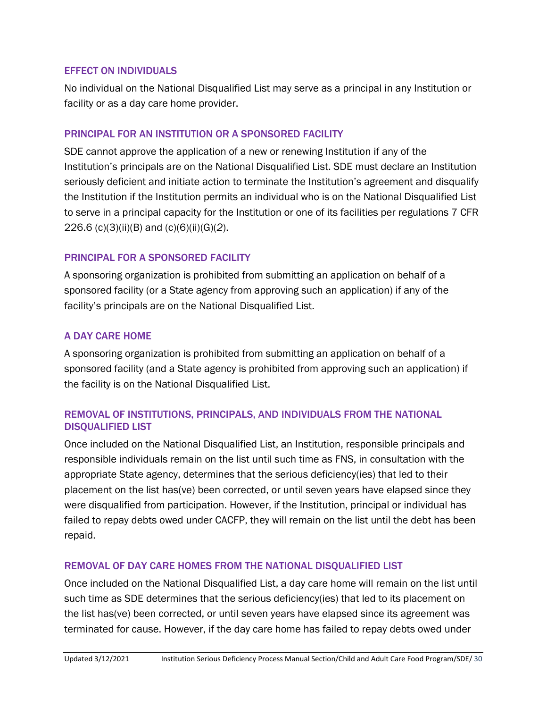### EFFECT ON INDIVIDUALS

No individual on the National Disqualified List may serve as a principal in any Institution or facility or as a day care home provider.

### PRINCIPAL FOR AN INSTITUTION OR A SPONSORED FACILITY

SDE cannot approve the application of a new or renewing Institution if any of the Institution's principals are on the National Disqualified List. SDE must declare an Institution seriously deficient and initiate action to terminate the Institution's agreement and disqualify the Institution if the Institution permits an individual who is on the National Disqualified List to serve in a principal capacity for the Institution or one of its facilities per regulations 7 CFR 226.6 (c)(3)(ii)(B) and (c)(6)(ii)(G)(*2*).

### PRINCIPAL FOR A SPONSORED FACILITY

A sponsoring organization is prohibited from submitting an application on behalf of a sponsored facility (or a State agency from approving such an application) if any of the facility's principals are on the National Disqualified List.

### A DAY CARE HOME

A sponsoring organization is prohibited from submitting an application on behalf of a sponsored facility (and a State agency is prohibited from approving such an application) if the facility is on the National Disqualified List.

### REMOVAL OF INSTITUTIONS, PRINCIPALS, AND INDIVIDUALS FROM THE NATIONAL DISQUALIFIED LIST

Once included on the National Disqualified List, an Institution, responsible principals and responsible individuals remain on the list until such time as FNS, in consultation with the appropriate State agency, determines that the serious deficiency(ies) that led to their placement on the list has(ve) been corrected, or until seven years have elapsed since they were disqualified from participation. However, if the Institution, principal or individual has failed to repay debts owed under CACFP, they will remain on the list until the debt has been repaid.

### REMOVAL OF DAY CARE HOMES FROM THE NATIONAL DISQUALIFIED LIST

Once included on the National Disqualified List, a day care home will remain on the list until such time as SDE determines that the serious deficiency(ies) that led to its placement on the list has(ve) been corrected, or until seven years have elapsed since its agreement was terminated for cause. However, if the day care home has failed to repay debts owed under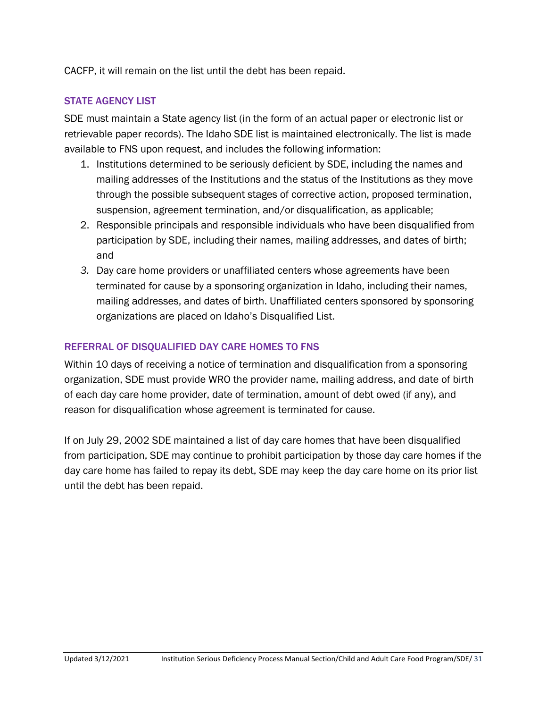CACFP, it will remain on the list until the debt has been repaid.

### STATE AGENCY LIST

SDE must maintain a State agency list (in the form of an actual paper or electronic list or retrievable paper records). The Idaho SDE list is maintained electronically. The list is made available to FNS upon request, and includes the following information:

- 1. Institutions determined to be seriously deficient by SDE, including the names and mailing addresses of the Institutions and the status of the Institutions as they move through the possible subsequent stages of corrective action, proposed termination, suspension, agreement termination, and/or disqualification, as applicable;
- 2. Responsible principals and responsible individuals who have been disqualified from participation by SDE, including their names, mailing addresses, and dates of birth; and
- *3.* Day care home providers or unaffiliated centers whose agreements have been terminated for cause by a sponsoring organization in Idaho, including their names, mailing addresses, and dates of birth. Unaffiliated centers sponsored by sponsoring organizations are placed on Idaho's Disqualified List.

### REFERRAL OF DISQUALIFIED DAY CARE HOMES TO FNS

Within 10 days of receiving a notice of termination and disqualification from a sponsoring organization, SDE must provide WRO the provider name, mailing address, and date of birth of each day care home provider, date of termination, amount of debt owed (if any), and reason for disqualification whose agreement is terminated for cause.

If on July 29, 2002 SDE maintained a list of day care homes that have been disqualified from participation, SDE may continue to prohibit participation by those day care homes if the day care home has failed to repay its debt, SDE may keep the day care home on its prior list until the debt has been repaid.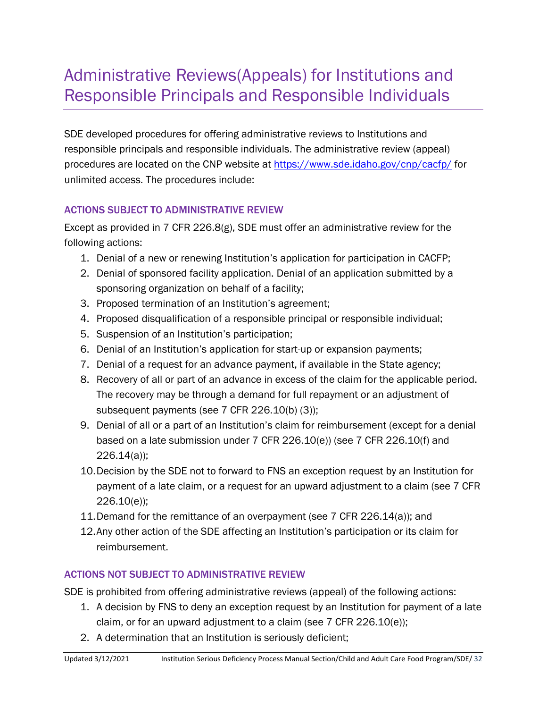## <span id="page-31-0"></span>Administrative Reviews(Appeals) for Institutions and Responsible Principals and Responsible Individuals

SDE developed procedures for offering administrative reviews to Institutions and responsible principals and responsible individuals. The administrative review (appeal) procedures are located on the CNP website at<https://www.sde.idaho.gov/cnp/cacfp/>for unlimited access. The procedures include:

### ACTIONS SUBJECT TO ADMINISTRATIVE REVIEW

Except as provided in 7 CFR 226.8(g), SDE must offer an administrative review for the following actions:

- 1. Denial of a new or renewing Institution's application for participation in CACFP;
- 2. Denial of sponsored facility application. Denial of an application submitted by a sponsoring organization on behalf of a facility;
- 3. Proposed termination of an Institution's agreement;
- 4. Proposed disqualification of a responsible principal or responsible individual;
- 5. Suspension of an Institution's participation;
- 6. Denial of an Institution's application for start-up or expansion payments;
- 7. Denial of a request for an advance payment, if available in the State agency;
- 8. Recovery of all or part of an advance in excess of the claim for the applicable period. The recovery may be through a demand for full repayment or an adjustment of subsequent payments (see 7 CFR 226.10(b) (3));
- 9. Denial of all or a part of an Institution's claim for reimbursement (except for a denial based on a late submission under 7 CFR 226.10(e)) (see 7 CFR 226.10(f) and 226.14(a));
- 10.Decision by the SDE not to forward to FNS an exception request by an Institution for payment of a late claim, or a request for an upward adjustment to a claim (see 7 CFR 226.10(e));
- 11.Demand for the remittance of an overpayment (see 7 CFR 226.14(a)); and
- 12.Any other action of the SDE affecting an Institution's participation or its claim for reimbursement.

## ACTIONS NOT SUBJECT TO ADMINISTRATIVE REVIEW

SDE is prohibited from offering administrative reviews (appeal) of the following actions:

- 1. A decision by FNS to deny an exception request by an Institution for payment of a late claim, or for an upward adjustment to a claim (see 7 CFR 226.10(e));
- 2. A determination that an Institution is seriously deficient;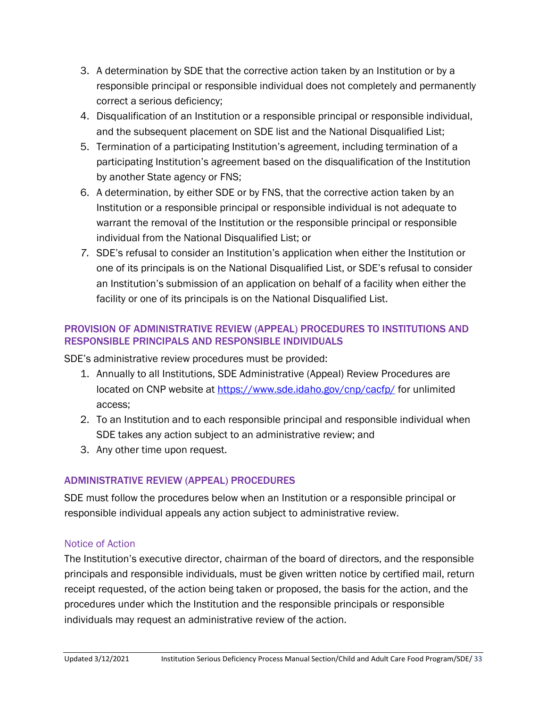- 3. A determination by SDE that the corrective action taken by an Institution or by a responsible principal or responsible individual does not completely and permanently correct a serious deficiency;
- 4. Disqualification of an Institution or a responsible principal or responsible individual, and the subsequent placement on SDE list and the National Disqualified List;
- 5. Termination of a participating Institution's agreement, including termination of a participating Institution's agreement based on the disqualification of the Institution by another State agency or FNS;
- 6. A determination, by either SDE or by FNS, that the corrective action taken by an Institution or a responsible principal or responsible individual is not adequate to warrant the removal of the Institution or the responsible principal or responsible individual from the National Disqualified List; or
- *7.* SDE's refusal to consider an Institution's application when either the Institution or one of its principals is on the National Disqualified List, or SDE's refusal to consider an Institution's submission of an application on behalf of a facility when either the facility or one of its principals is on the National Disqualified List.

### PROVISION OF ADMINISTRATIVE REVIEW (APPEAL) PROCEDURES TO INSTITUTIONS AND RESPONSIBLE PRINCIPALS AND RESPONSIBLE INDIVIDUALS

SDE's administrative review procedures must be provided:

- 1. Annually to all Institutions, SDE Administrative (Appeal) Review Procedures are located on CNP website at<https://www.sde.idaho.gov/cnp/cacfp/>for unlimited access;
- 2. To an Institution and to each responsible principal and responsible individual when SDE takes any action subject to an administrative review; and
- 3. Any other time upon request.

### ADMINISTRATIVE REVIEW (APPEAL) PROCEDURES

SDE must follow the procedures below when an Institution or a responsible principal or responsible individual appeals any action subject to administrative review.

### Notice of Action

The Institution's executive director, chairman of the board of directors, and the responsible principals and responsible individuals, must be given written notice by certified mail, return receipt requested, of the action being taken or proposed, the basis for the action, and the procedures under which the Institution and the responsible principals or responsible individuals may request an administrative review of the action.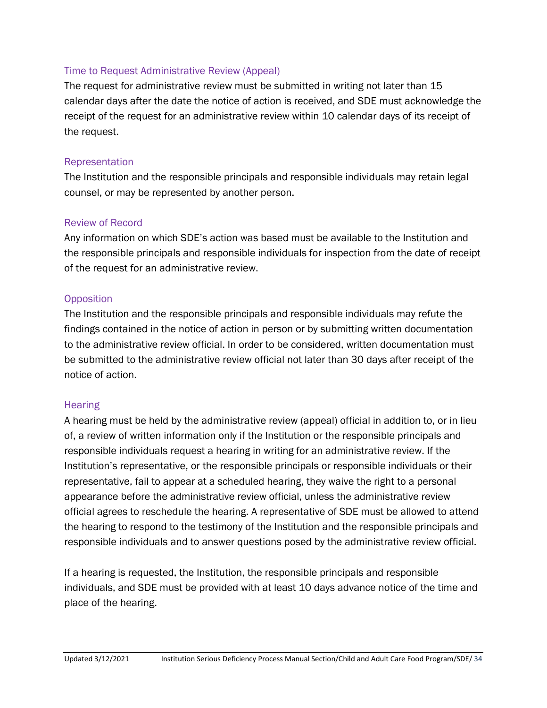### Time to Request Administrative Review (Appeal)

The request for administrative review must be submitted in writing not later than 15 calendar days after the date the notice of action is received, and SDE must acknowledge the receipt of the request for an administrative review within 10 calendar days of its receipt of the request.

### Representation

The Institution and the responsible principals and responsible individuals may retain legal counsel, or may be represented by another person.

### Review of Record

Any information on which SDE's action was based must be available to the Institution and the responsible principals and responsible individuals for inspection from the date of receipt of the request for an administrative review.

### **Opposition**

The Institution and the responsible principals and responsible individuals may refute the findings contained in the notice of action in person or by submitting written documentation to the administrative review official. In order to be considered, written documentation must be submitted to the administrative review official not later than 30 days after receipt of the notice of action.

### **Hearing**

A hearing must be held by the administrative review (appeal) official in addition to, or in lieu of, a review of written information only if the Institution or the responsible principals and responsible individuals request a hearing in writing for an administrative review. If the Institution's representative, or the responsible principals or responsible individuals or their representative, fail to appear at a scheduled hearing, they waive the right to a personal appearance before the administrative review official, unless the administrative review official agrees to reschedule the hearing. A representative of SDE must be allowed to attend the hearing to respond to the testimony of the Institution and the responsible principals and responsible individuals and to answer questions posed by the administrative review official.

If a hearing is requested, the Institution, the responsible principals and responsible individuals, and SDE must be provided with at least 10 days advance notice of the time and place of the hearing.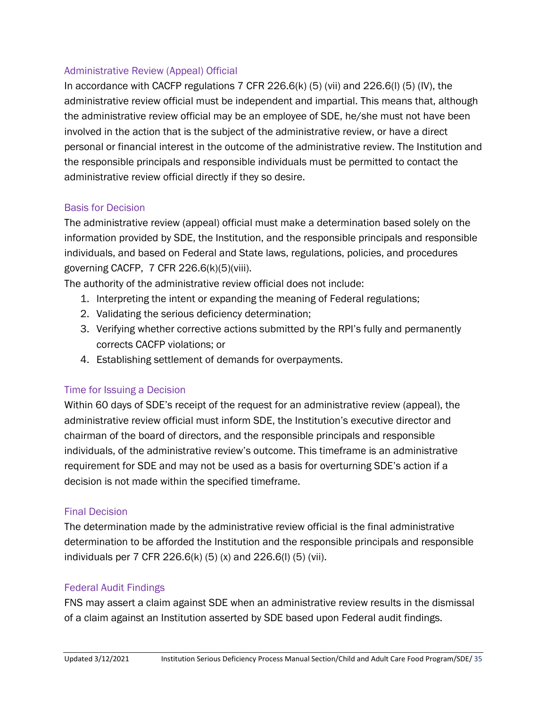### Administrative Review (Appeal) Official

In accordance with CACFP regulations  $7$  CFR 226.6(k) (5) (vii) and 226.6(l) (5) (IV), the administrative review official must be independent and impartial. This means that, although the administrative review official may be an employee of SDE, he/she must not have been involved in the action that is the subject of the administrative review, or have a direct personal or financial interest in the outcome of the administrative review. The Institution and the responsible principals and responsible individuals must be permitted to contact the administrative review official directly if they so desire.

### Basis for Decision

The administrative review (appeal) official must make a determination based solely on the information provided by SDE, the Institution, and the responsible principals and responsible individuals, and based on Federal and State laws, regulations, policies, and procedures governing CACFP, 7 CFR 226.6(k)(5)(viii).

The authority of the administrative review official does not include:

- 1. Interpreting the intent or expanding the meaning of Federal regulations;
- 2. Validating the serious deficiency determination;
- 3. Verifying whether corrective actions submitted by the RPI's fully and permanently corrects CACFP violations; or
- 4. Establishing settlement of demands for overpayments.

### Time for Issuing a Decision

Within 60 days of SDE's receipt of the request for an administrative review (appeal), the administrative review official must inform SDE, the Institution's executive director and chairman of the board of directors, and the responsible principals and responsible individuals, of the administrative review's outcome. This timeframe is an administrative requirement for SDE and may not be used as a basis for overturning SDE's action if a decision is not made within the specified timeframe.

### Final Decision

The determination made by the administrative review official is the final administrative determination to be afforded the Institution and the responsible principals and responsible individuals per 7 CFR 226.6(k) (5) (x) and 226.6(l) (5) (vii).

### Federal Audit Findings

FNS may assert a claim against SDE when an administrative review results in the dismissal of a claim against an Institution asserted by SDE based upon Federal audit findings.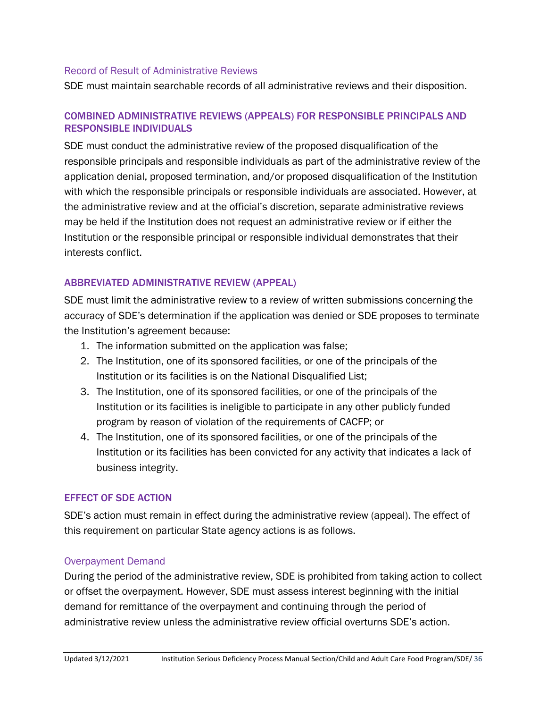#### Record of Result of Administrative Reviews

SDE must maintain searchable records of all administrative reviews and their disposition.

### COMBINED ADMINISTRATIVE REVIEWS (APPEALS) FOR RESPONSIBLE PRINCIPALS AND RESPONSIBLE INDIVIDUALS

SDE must conduct the administrative review of the proposed disqualification of the responsible principals and responsible individuals as part of the administrative review of the application denial, proposed termination, and/or proposed disqualification of the Institution with which the responsible principals or responsible individuals are associated. However, at the administrative review and at the official's discretion, separate administrative reviews may be held if the Institution does not request an administrative review or if either the Institution or the responsible principal or responsible individual demonstrates that their interests conflict.

### ABBREVIATED ADMINISTRATIVE REVIEW (APPEAL)

SDE must limit the administrative review to a review of written submissions concerning the accuracy of SDE's determination if the application was denied or SDE proposes to terminate the Institution's agreement because:

- 1. The information submitted on the application was false;
- 2. The Institution, one of its sponsored facilities, or one of the principals of the Institution or its facilities is on the National Disqualified List;
- 3. The Institution, one of its sponsored facilities, or one of the principals of the Institution or its facilities is ineligible to participate in any other publicly funded program by reason of violation of the requirements of CACFP; or
- 4. The Institution, one of its sponsored facilities, or one of the principals of the Institution or its facilities has been convicted for any activity that indicates a lack of business integrity.

### EFFECT OF SDE ACTION

SDE's action must remain in effect during the administrative review (appeal). The effect of this requirement on particular State agency actions is as follows.

### Overpayment Demand

During the period of the administrative review, SDE is prohibited from taking action to collect or offset the overpayment. However, SDE must assess interest beginning with the initial demand for remittance of the overpayment and continuing through the period of administrative review unless the administrative review official overturns SDE's action.